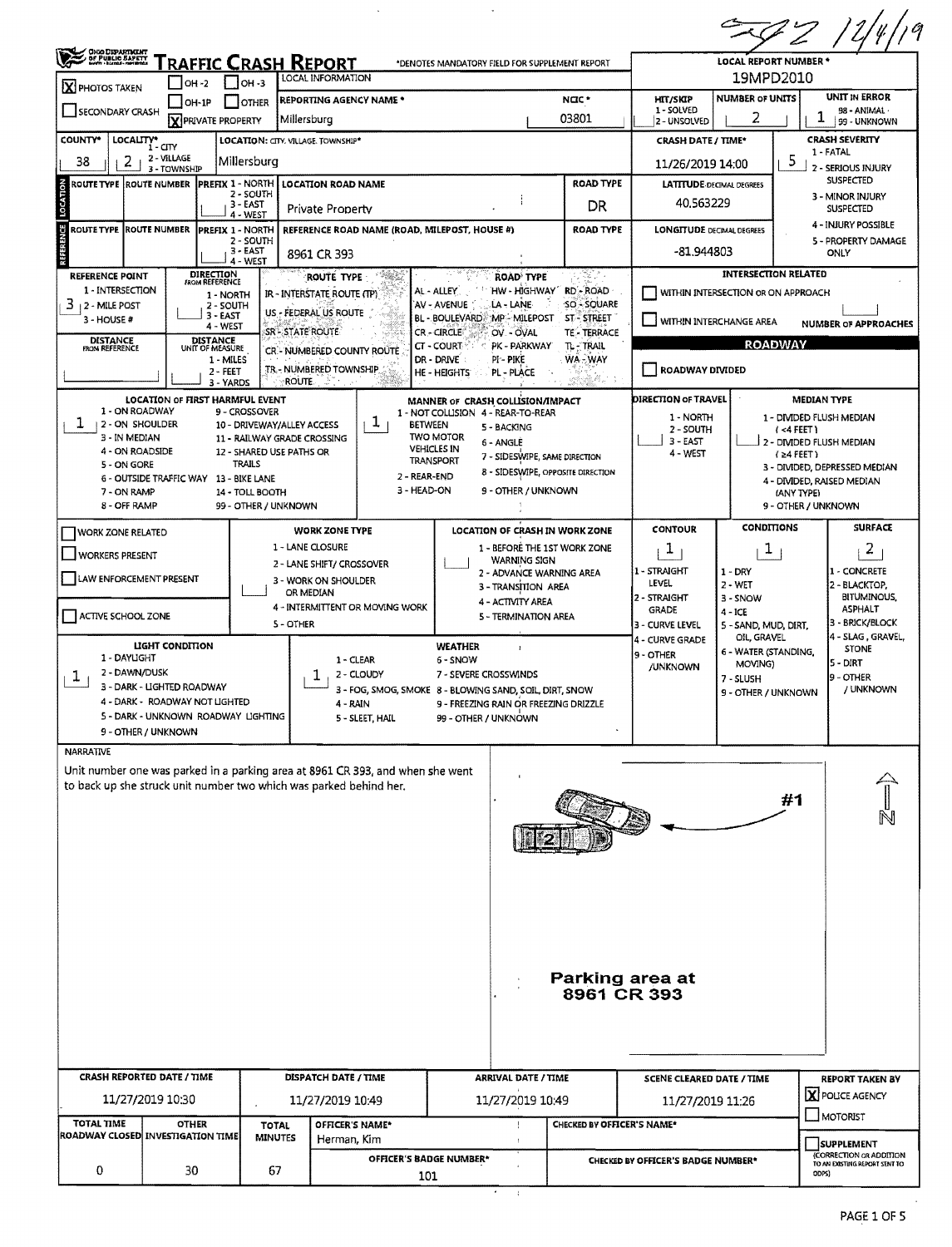|                                            |                                                              |                                                           |                                                                                                                                                      |                                                                                      |                            |                                                |                                           | /19<br>ZZ                                                         |  |  |  |  |
|--------------------------------------------|--------------------------------------------------------------|-----------------------------------------------------------|------------------------------------------------------------------------------------------------------------------------------------------------------|--------------------------------------------------------------------------------------|----------------------------|------------------------------------------------|-------------------------------------------|-------------------------------------------------------------------|--|--|--|--|
| <b>CHO DEPARTMENT</b><br>OF PUBLIC BARETT  | <u> Fraffic Crash Report</u>                                 |                                                           | LOCAL INFORMATION                                                                                                                                    | *DENOTES MANDATORY FIELD FOR SUPPLEMENT REPORT                                       |                            |                                                | <b>LOCAL REPORT NUMBER *</b><br>19MPD2010 |                                                                   |  |  |  |  |
| X PHOTOS TAKEN                             | OH -2                                                        | он -з<br>    OTHER                                        | REPORTING AGENCY NAME *                                                                                                                              |                                                                                      | NOC*                       | <b>HIT/SKIP</b>                                | <b>NUMBER OF UNITS</b>                    | <b>UNIT IN ERROR</b>                                              |  |  |  |  |
| SECONDARY CRASH                            | $OH-1P$<br>X PRIVATE PROPERTY                                |                                                           | Millersburg                                                                                                                                          |                                                                                      | 03801                      | 1 - SOLVED<br>2 - UNSOLVED                     | 98 - ANIMAL ·<br>99 - UNKNOWN             |                                                                   |  |  |  |  |
| <b>COUNTY</b> *<br>LOCALITY* CITY          |                                                              |                                                           | LOCATION: CITY, VILLAGE, TOWNSHIP*                                                                                                                   |                                                                                      |                            | <b>CRASH DATE / TIME*</b>                      |                                           | CRASH SEVERITY                                                    |  |  |  |  |
| 38<br>2                                    | 2 - VILLAGE<br>3 - TOWNSHIP                                  | Millersburg                                               |                                                                                                                                                      |                                                                                      |                            | 11/26/2019 14:00                               |                                           | 1 - FATAL<br>5<br>2 - SERIOUS INJURY                              |  |  |  |  |
| ROUTE TYPE  ROUTE NUMBER                   | <b>PREFIX 1 - NORTH</b>                                      |                                                           | <b>LOCATION ROAD NAME</b>                                                                                                                            |                                                                                      | <b>ROAD TYPE</b>           | <b>LATITUDE DECIMAL DEGREES</b>                |                                           | <b>SUSPECTED</b>                                                  |  |  |  |  |
| LOCATION                                   |                                                              | 2 - SOUTH<br>3 - EAST                                     | Private Property                                                                                                                                     |                                                                                      | DR.                        | 40.563229                                      |                                           | 3 - MINOR INJURY<br><b>SUSPECTED</b>                              |  |  |  |  |
| U<br><b>ROUTE TYPE ROUTE NUMBER</b>        | <b>PREFIX 1 - NORTH</b>                                      | 4 - WEST<br>2 - SOUTH<br>$3 - EAST$                       | REFERENCE ROAD NAME (ROAD, MILEPOST, HOUSE #)                                                                                                        |                                                                                      | <b>ROAD TYPE</b>           | <b>LONGITUDE DECIMAL DEGREES</b><br>-81.944803 |                                           | 4 - INJURY POSSIBLE<br>5 - PROPERTY DAMAGE                        |  |  |  |  |
|                                            | DIRECTION                                                    | 4 - WEST                                                  | 8961 CR 393                                                                                                                                          |                                                                                      | S.,                        |                                                | <b>INTERSECTION RELATED</b>               | ONLY                                                              |  |  |  |  |
| <b>REFERENCE POINT</b><br>1 - INTERSECTION | <b>FROM REFERENCE</b><br>1 - NORTH                           |                                                           | i di Wilaya<br>ROUTE TYPE<br>IR - INTERSTATE ROUTE (TP)                                                                                              | <b>ROAD TYPE</b><br>AL - ALLEY<br>HW - HIGHWAY                                       | RD-ROAD                    |                                                | WITHIN INTERSECTION OR ON APPROACH        |                                                                   |  |  |  |  |
| 3<br>12 - MILE POST                        | 2 - SOUTH<br>3 - EAST                                        |                                                           | US - FEDERAL US ROUTE                                                                                                                                | LA - LANE<br>'AV - AVENUE<br>BL - BOULEVARD MP - MILEPOST                            | SO - SQUARE                |                                                |                                           |                                                                   |  |  |  |  |
| 3 - HOUSE #                                | 4 - WEST                                                     |                                                           | SR-STATE ROUTE                                                                                                                                       | CR-CIRCLE<br>OV OVAL                                                                 | ST - STREET<br>TE-TERRACE  | WITHIN INTERCHANGE AREA                        |                                           | NUMBER OF APPROACHES                                              |  |  |  |  |
| <b>DISTANCE</b><br>FROM REFERENCE          | <b>DISTANCE</b><br>UNIT OF MEASURE                           |                                                           | CR - NUMBERED COUNTY ROUTE                                                                                                                           | CT - COURT<br>PK - PARKWAY                                                           | TL - TRAIL<br>WA - WAY     |                                                | <b>ROADWAY</b>                            |                                                                   |  |  |  |  |
|                                            | 1 - MILES<br>2 - FEET                                        |                                                           | TR - NUMBERED TOWNSHIP                                                                                                                               | pi - pike<br>dr - Drive<br>PL - PLACE<br>HE - HEIGHTS                                |                            |                                                | ROADWAY DIVIDED                           |                                                                   |  |  |  |  |
|                                            | 3 - YARDS<br>LOCATION OF FIRST HARMFUL EVENT                 | ROUTE.                                                    |                                                                                                                                                      | MANNER OF CRASH COLLISION/IMPACT                                                     |                            | <b>DIRECTION OF TRAVEL</b>                     |                                           | <b>MEDIAN TYPE</b>                                                |  |  |  |  |
| 1 - ON ROADWAY                             |                                                              | 9 - CROSSOVER                                             |                                                                                                                                                      | 1 - NOT COLLISION 4 - REAR-TO-REAR                                                   |                            | 1 - NORTH                                      |                                           | 1 - DIVIDED FLUSH MEDIAN                                          |  |  |  |  |
| ı<br>12-ON SHOULDER<br>3 - IN MEDIAN       |                                                              | 10 - DRIVEWAY/ALLEY ACCESS<br>11 - RAILWAY GRADE CROSSING | T<br><b>BETWEEN</b>                                                                                                                                  | 5 - BACKING<br><b>TWO MOTOR</b>                                                      |                            | 2 - SOUTH                                      |                                           | (4FEET)                                                           |  |  |  |  |
| 4 - ON ROADSIDE                            |                                                              | 12 - SHARED USE PATHS OR                                  |                                                                                                                                                      | 6 - ANGLE<br><b>VEHICLES IN</b><br>7 - SIDESWIPE, SAME DIRECTION<br><b>TRANSPORT</b> |                            | $3 - EAST$<br>4 - WEST                         |                                           | 2 - DIVIDED FLUSH MEDIAN<br>$(24$ FEET)                           |  |  |  |  |
| 5 - ON GORE                                | 6 - OUTSIDE TRAFFIC WAY 13 - BIKE LANE                       | <b>TRAILS</b>                                             | 2 - REAR-END                                                                                                                                         | 8 - SIDESWIPE, OPPOSITE DIRECTION                                                    |                            |                                                |                                           | 3 - DIVIDED, DEPRESSED MEDIAN                                     |  |  |  |  |
| 7 - ON RAMP                                |                                                              | 14 - TOLL BOOTH                                           | 3 - HEAD-ON                                                                                                                                          | 9 - OTHER / UNKNOWN                                                                  |                            |                                                |                                           | 4 - DIVIDED, RAISED MEDIAN<br>(ANY TYPE)                          |  |  |  |  |
| 8 - OFF RAMP                               |                                                              | 99 - OTHER / UNKNOWN                                      |                                                                                                                                                      |                                                                                      |                            |                                                |                                           | 9 - OTHER / UNKNOWN                                               |  |  |  |  |
| <b>WORK ZONE RELATED</b>                   |                                                              |                                                           | <b>WORK ZONE TYPE</b>                                                                                                                                | LOCATION OF CRASH IN WORK ZONE                                                       |                            | <b>CONTOUR</b>                                 | CONDITIONS                                | <b>SURFACE</b>                                                    |  |  |  |  |
| WORKERS PRESENT                            |                                                              |                                                           | 1 - LANE CLOSURE<br>2 - LANE SHIFT/ CROSSOVER                                                                                                        | 1 - BEFORE THE 1ST WORK ZONE<br><b>WARNING SIGN</b>                                  |                            | Ŧ                                              | Ŧ                                         | 2                                                                 |  |  |  |  |
| LAW ENFORCEMENT PRESENT                    |                                                              |                                                           | 3 - WORK ON SHOULDER                                                                                                                                 | 2 - ADVANCE WARNING AREA                                                             |                            | 1 - STRAIGHT<br>LEVEL                          | $1 - DRY$                                 | 1 - CONCRETE                                                      |  |  |  |  |
|                                            |                                                              |                                                           | OR MEDIAN                                                                                                                                            | 3 - TRANSITION AREA<br>4 - ACTIVITY AREA                                             |                            | 2 - STRAIGHT                                   | $2 - WET$<br>3 - SNOW                     | 2 - BLACKTOP,<br>BITUMINOUS,                                      |  |  |  |  |
| ACTIVE SCHOOL ZONE                         |                                                              | 5 - OTHER                                                 | 4 - INTERMITTENT OR MOVING WORK                                                                                                                      | 5 - TERMINATION AREA                                                                 |                            | <b>GRADE</b>                                   | $4 - ICE$                                 | <b>ASPHALT</b><br>3 - BRICK/BLOCK                                 |  |  |  |  |
|                                            |                                                              |                                                           |                                                                                                                                                      |                                                                                      |                            | 3 - CURVE LEVEL<br>4 - CURVE GRADE             | 5 - SAND, MUD, DIRT,<br>OIL, GRAVEL       | 4 - SLAG, GRAVEL,                                                 |  |  |  |  |
| 1 - DAYUGHT                                | LIGHT CONDITION                                              |                                                           | 1 - CLEAR                                                                                                                                            | <b>WEATHER</b><br>$\mathbf{I}$<br>6 - SNOW                                           |                            | 9 - OTHER                                      | 6 - WATER (STANDING,                      | <b>STONE</b><br> 5 - DIRT                                         |  |  |  |  |
| 2 - DAWN/DUSK<br>$\pm$                     |                                                              |                                                           | 2 - CLOUDY<br>T                                                                                                                                      | 7 - SEVERE CROSSWINDS                                                                |                            | /UNKNOWN                                       | MOVING)<br>7 - SLUSH                      | 9 - OTHER                                                         |  |  |  |  |
|                                            | 3 - DARK - LIGHTED ROADWAY<br>4 - DARK - ROADWAY NOT LIGHTED |                                                           | 4 - RAIN                                                                                                                                             | 3 - FOG, SMOG, SMOKE 8 - BLOWING SAND, SOIL, DIRT, SNOW                              |                            |                                                | 9 - OTHER / UNKNOWN                       | / UNKNOWN                                                         |  |  |  |  |
|                                            | 5 - DARK - UNKNOWN ROADWAY LIGHTING                          |                                                           | 5 - SLEET, HAIL                                                                                                                                      | 9 - FREEZING RAIN OR FREEZING DRIZZLE<br>99 - OTHER / UNKNOWN                        |                            |                                                |                                           |                                                                   |  |  |  |  |
| 9 - OTHER / UNKNOWN                        |                                                              |                                                           |                                                                                                                                                      |                                                                                      |                            |                                                |                                           |                                                                   |  |  |  |  |
| <b>NARRATIVE</b>                           |                                                              |                                                           |                                                                                                                                                      |                                                                                      |                            |                                                |                                           |                                                                   |  |  |  |  |
|                                            |                                                              |                                                           | Unit number one was parked in a parking area at 8961 CR 393, and when she went<br>to back up she struck unit number two which was parked behind her. |                                                                                      |                            |                                                |                                           |                                                                   |  |  |  |  |
|                                            |                                                              |                                                           |                                                                                                                                                      |                                                                                      |                            |                                                |                                           | #1                                                                |  |  |  |  |
|                                            |                                                              |                                                           |                                                                                                                                                      |                                                                                      |                            |                                                |                                           | $\widehat{\mathbb{Z}}$                                            |  |  |  |  |
|                                            |                                                              |                                                           |                                                                                                                                                      |                                                                                      |                            |                                                |                                           |                                                                   |  |  |  |  |
|                                            |                                                              |                                                           |                                                                                                                                                      |                                                                                      |                            |                                                |                                           |                                                                   |  |  |  |  |
|                                            |                                                              |                                                           |                                                                                                                                                      |                                                                                      |                            |                                                |                                           |                                                                   |  |  |  |  |
|                                            |                                                              |                                                           |                                                                                                                                                      |                                                                                      |                            |                                                |                                           |                                                                   |  |  |  |  |
|                                            |                                                              |                                                           |                                                                                                                                                      |                                                                                      |                            |                                                |                                           |                                                                   |  |  |  |  |
|                                            |                                                              |                                                           |                                                                                                                                                      |                                                                                      |                            |                                                |                                           |                                                                   |  |  |  |  |
|                                            |                                                              |                                                           |                                                                                                                                                      |                                                                                      |                            |                                                |                                           |                                                                   |  |  |  |  |
|                                            |                                                              |                                                           |                                                                                                                                                      |                                                                                      | Parking area at            |                                                |                                           |                                                                   |  |  |  |  |
|                                            |                                                              |                                                           |                                                                                                                                                      |                                                                                      | 8961 CR 393                |                                                |                                           |                                                                   |  |  |  |  |
|                                            |                                                              |                                                           |                                                                                                                                                      |                                                                                      |                            |                                                |                                           |                                                                   |  |  |  |  |
|                                            |                                                              |                                                           |                                                                                                                                                      |                                                                                      |                            |                                                |                                           |                                                                   |  |  |  |  |
|                                            |                                                              |                                                           |                                                                                                                                                      |                                                                                      |                            |                                                |                                           |                                                                   |  |  |  |  |
|                                            |                                                              |                                                           | <b>DISPATCH DATE / TIME</b>                                                                                                                          | <b>ARRIVAL DATE / TIME</b>                                                           |                            | SCENE CLEARED DATE / TIME                      |                                           | <b>REPORT TAKEN BY</b>                                            |  |  |  |  |
| <b>CRASH REPORTED DATE / TIME</b>          |                                                              |                                                           | 11/27/2019 10:49                                                                                                                                     | 11/27/2019 10:49                                                                     | 11/27/2019 11:26           | X POLICE AGENCY                                |                                           |                                                                   |  |  |  |  |
| 11/27/2019 10:30                           |                                                              |                                                           |                                                                                                                                                      |                                                                                      |                            |                                                | MOTORIST                                  |                                                                   |  |  |  |  |
| <b>TOTAL TIME</b>                          | <b>OTHER</b>                                                 | <b>TOTAL</b>                                              | OFFICER'S NAME*                                                                                                                                      |                                                                                      | CHECKED BY OFFICER'S NAME* |                                                |                                           |                                                                   |  |  |  |  |
| ROADWAY CLOSED INVESTIGATION TIME          |                                                              | <b>MINUTES</b>                                            | Herman, Kim                                                                                                                                          |                                                                                      |                            |                                                |                                           | <b>SUPPLEMENT</b>                                                 |  |  |  |  |
| 0                                          | 30                                                           | 67                                                        | OFFICER'S BADGE NUMBER*<br>101                                                                                                                       |                                                                                      |                            | <b>CHECKED BY OFFICER'S BADGE NUMBER*</b>      |                                           | (CORRECTION OR ADDITION<br>TO AN EXISTING REPORT SENT TO<br>ODPS) |  |  |  |  |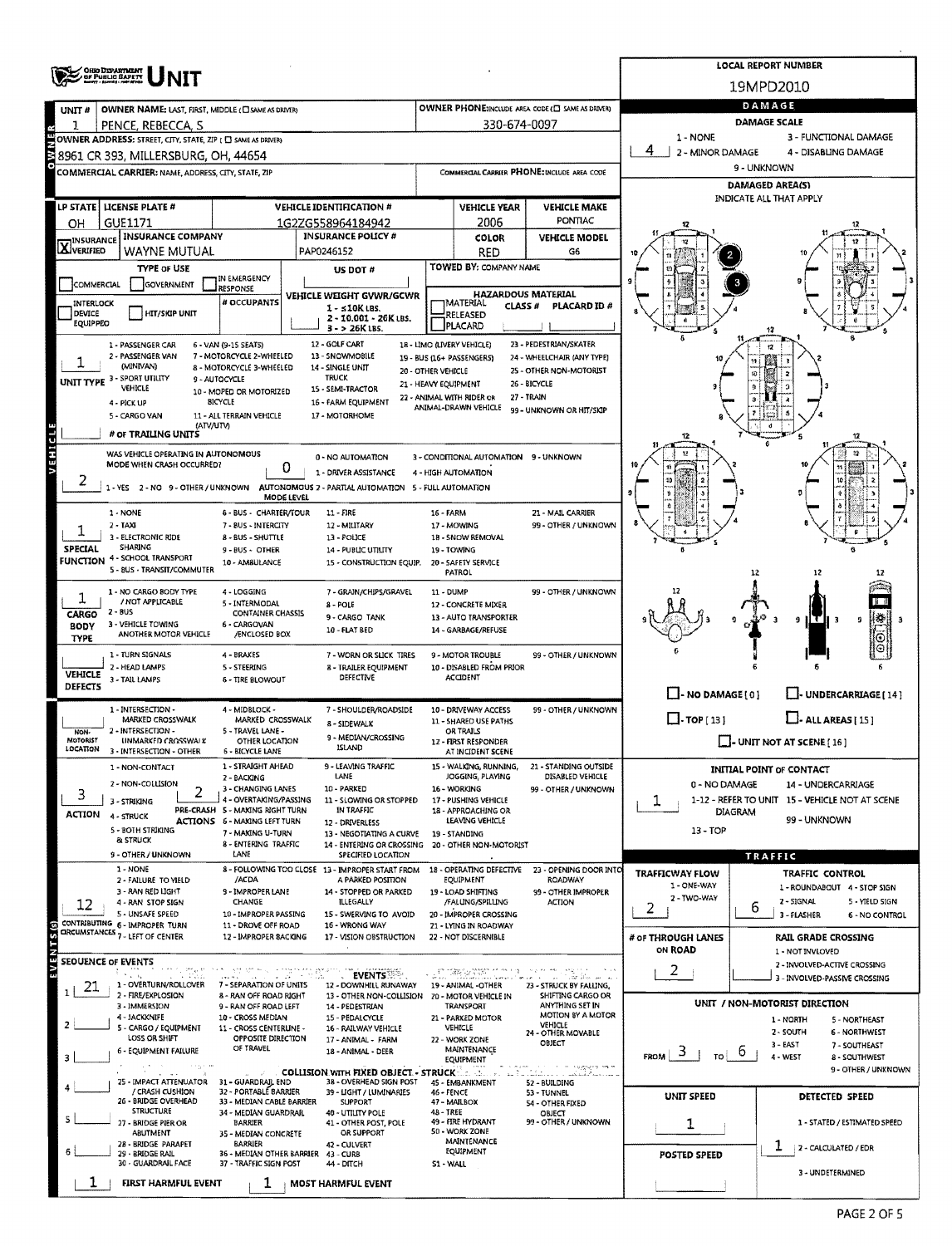| <b>CHIO DEPARTMENT<br/>OF PUBLIC BAPETT</b>             |                                                                           |                                                                                                                                                                                                                                                                                                                                                                                                                                                                                                                                                                                                                                                                                                                                                                                                                                                                                                                                                                                                                                                                                                                                                                                                                                                                                                                                                                                                                                                                                                                                                                                                                                                                                                                                                                                                                                                                                                                                                                                                                                                                                                                                                                                                                                                                                                                                                                                                                                                                                                                                                                                                                                                                                                                                                                                                                                                                                                                                                                                                                                                                                                                                                                                                                                                                                                                                                                                                                                                                                                                                                                                                                                                                                                                                                                                                                                                                                                                                                                                                                                                                                                                                                                                                                                                                                                                                                                                                                                                                                                                                                                                                                                                                                                                                                                                                                                                                                                                                                                                                                                                                                                                                                                                                                                                                                                                                                                                                                                                                                                                                                                                                                                                                                                                                                                                                                                                                                                                                                                                        |                                                                                                             |            |                               |                                                           | <b>LOCAL REPORT NUMBER</b> |                                |  |  |  |  |  |
|---------------------------------------------------------|---------------------------------------------------------------------------|----------------------------------------------------------------------------------------------------------------------------------------------------------------------------------------------------------------------------------------------------------------------------------------------------------------------------------------------------------------------------------------------------------------------------------------------------------------------------------------------------------------------------------------------------------------------------------------------------------------------------------------------------------------------------------------------------------------------------------------------------------------------------------------------------------------------------------------------------------------------------------------------------------------------------------------------------------------------------------------------------------------------------------------------------------------------------------------------------------------------------------------------------------------------------------------------------------------------------------------------------------------------------------------------------------------------------------------------------------------------------------------------------------------------------------------------------------------------------------------------------------------------------------------------------------------------------------------------------------------------------------------------------------------------------------------------------------------------------------------------------------------------------------------------------------------------------------------------------------------------------------------------------------------------------------------------------------------------------------------------------------------------------------------------------------------------------------------------------------------------------------------------------------------------------------------------------------------------------------------------------------------------------------------------------------------------------------------------------------------------------------------------------------------------------------------------------------------------------------------------------------------------------------------------------------------------------------------------------------------------------------------------------------------------------------------------------------------------------------------------------------------------------------------------------------------------------------------------------------------------------------------------------------------------------------------------------------------------------------------------------------------------------------------------------------------------------------------------------------------------------------------------------------------------------------------------------------------------------------------------------------------------------------------------------------------------------------------------------------------------------------------------------------------------------------------------------------------------------------------------------------------------------------------------------------------------------------------------------------------------------------------------------------------------------------------------------------------------------------------------------------------------------------------------------------------------------------------------------------------------------------------------------------------------------------------------------------------------------------------------------------------------------------------------------------------------------------------------------------------------------------------------------------------------------------------------------------------------------------------------------------------------------------------------------------------------------------------------------------------------------------------------------------------------------------------------------------------------------------------------------------------------------------------------------------------------------------------------------------------------------------------------------------------------------------------------------------------------------------------------------------------------------------------------------------------------------------------------------------------------------------------------------------------------------------------------------------------------------------------------------------------------------------------------------------------------------------------------------------------------------------------------------------------------------------------------------------------------------------------------------------------------------------------------------------------------------------------------------------------------------------------------------------------------------------------------------------------------------------------------------------------------------------------------------------------------------------------------------------------------------------------------------------------------------------------------------------------------------------------------------------------------------------------------------------------------------------------------------------------------------------------------------------------------------------------------------------------------------------------|-------------------------------------------------------------------------------------------------------------|------------|-------------------------------|-----------------------------------------------------------|----------------------------|--------------------------------|--|--|--|--|--|
|                                                         |                                                                           |                                                                                                                                                                                                                                                                                                                                                                                                                                                                                                                                                                                                                                                                                                                                                                                                                                                                                                                                                                                                                                                                                                                                                                                                                                                                                                                                                                                                                                                                                                                                                                                                                                                                                                                                                                                                                                                                                                                                                                                                                                                                                                                                                                                                                                                                                                                                                                                                                                                                                                                                                                                                                                                                                                                                                                                                                                                                                                                                                                                                                                                                                                                                                                                                                                                                                                                                                                                                                                                                                                                                                                                                                                                                                                                                                                                                                                                                                                                                                                                                                                                                                                                                                                                                                                                                                                                                                                                                                                                                                                                                                                                                                                                                                                                                                                                                                                                                                                                                                                                                                                                                                                                                                                                                                                                                                                                                                                                                                                                                                                                                                                                                                                                                                                                                                                                                                                                                                                                                                                                        |                                                                                                             |            |                               |                                                           |                            |                                |  |  |  |  |  |
| UNIT#                                                   |                                                                           |                                                                                                                                                                                                                                                                                                                                                                                                                                                                                                                                                                                                                                                                                                                                                                                                                                                                                                                                                                                                                                                                                                                                                                                                                                                                                                                                                                                                                                                                                                                                                                                                                                                                                                                                                                                                                                                                                                                                                                                                                                                                                                                                                                                                                                                                                                                                                                                                                                                                                                                                                                                                                                                                                                                                                                                                                                                                                                                                                                                                                                                                                                                                                                                                                                                                                                                                                                                                                                                                                                                                                                                                                                                                                                                                                                                                                                                                                                                                                                                                                                                                                                                                                                                                                                                                                                                                                                                                                                                                                                                                                                                                                                                                                                                                                                                                                                                                                                                                                                                                                                                                                                                                                                                                                                                                                                                                                                                                                                                                                                                                                                                                                                                                                                                                                                                                                                                                                                                                                                                        |                                                                                                             |            |                               |                                                           |                            | DAMAGE                         |  |  |  |  |  |
|                                                         | PENCE, REBECCA, S                                                         |                                                                                                                                                                                                                                                                                                                                                                                                                                                                                                                                                                                                                                                                                                                                                                                                                                                                                                                                                                                                                                                                                                                                                                                                                                                                                                                                                                                                                                                                                                                                                                                                                                                                                                                                                                                                                                                                                                                                                                                                                                                                                                                                                                                                                                                                                                                                                                                                                                                                                                                                                                                                                                                                                                                                                                                                                                                                                                                                                                                                                                                                                                                                                                                                                                                                                                                                                                                                                                                                                                                                                                                                                                                                                                                                                                                                                                                                                                                                                                                                                                                                                                                                                                                                                                                                                                                                                                                                                                                                                                                                                                                                                                                                                                                                                                                                                                                                                                                                                                                                                                                                                                                                                                                                                                                                                                                                                                                                                                                                                                                                                                                                                                                                                                                                                                                                                                                                                                                                                                                        |                                                                                                             |            |                               |                                                           | <b>DAMAGE SCALE</b>        |                                |  |  |  |  |  |
|                                                         |                                                                           |                                                                                                                                                                                                                                                                                                                                                                                                                                                                                                                                                                                                                                                                                                                                                                                                                                                                                                                                                                                                                                                                                                                                                                                                                                                                                                                                                                                                                                                                                                                                                                                                                                                                                                                                                                                                                                                                                                                                                                                                                                                                                                                                                                                                                                                                                                                                                                                                                                                                                                                                                                                                                                                                                                                                                                                                                                                                                                                                                                                                                                                                                                                                                                                                                                                                                                                                                                                                                                                                                                                                                                                                                                                                                                                                                                                                                                                                                                                                                                                                                                                                                                                                                                                                                                                                                                                                                                                                                                                                                                                                                                                                                                                                                                                                                                                                                                                                                                                                                                                                                                                                                                                                                                                                                                                                                                                                                                                                                                                                                                                                                                                                                                                                                                                                                                                                                                                                                                                                                                                        |                                                                                                             |            |                               |                                                           |                            |                                |  |  |  |  |  |
|                                                         |                                                                           |                                                                                                                                                                                                                                                                                                                                                                                                                                                                                                                                                                                                                                                                                                                                                                                                                                                                                                                                                                                                                                                                                                                                                                                                                                                                                                                                                                                                                                                                                                                                                                                                                                                                                                                                                                                                                                                                                                                                                                                                                                                                                                                                                                                                                                                                                                                                                                                                                                                                                                                                                                                                                                                                                                                                                                                                                                                                                                                                                                                                                                                                                                                                                                                                                                                                                                                                                                                                                                                                                                                                                                                                                                                                                                                                                                                                                                                                                                                                                                                                                                                                                                                                                                                                                                                                                                                                                                                                                                                                                                                                                                                                                                                                                                                                                                                                                                                                                                                                                                                                                                                                                                                                                                                                                                                                                                                                                                                                                                                                                                                                                                                                                                                                                                                                                                                                                                                                                                                                                                                        |                                                                                                             |            |                               |                                                           |                            |                                |  |  |  |  |  |
|                                                         |                                                                           | 19MPD2010<br>OWNER PHONE:INCLUDE AREA CODE (E) SAME AS DRIVER)<br>OWNER NAME: LAST, FIRST, MIDDLE (C) SAME AS DRIVER)<br>330-674-0097<br>1 - NONE<br>3 - FUNCTIONAL DAMAGE<br>OWNER ADDRESS: STREET, CITY, STATE, ZIP ( C SAME AS DRIVER)<br>4<br>2 - MINOR DAMAGE<br>4 - DISABLING DAMAGE<br>38961 CR 393, MILLERSBURG, OH, 44654<br>9 - UNKNOWN<br>COMMERCIAL CARRIER PHONE: INCLUDE AREA CODE<br>COMMERCIAL CARRIER: NAME, ADDRESS, CITY, STATE, ZIP<br><b>DAMAGED AREA(S)</b><br>INDICATE ALL THAT APPLY<br><b>VEHICLE IDENTIFICATION #</b><br><b>VEHICLE YEAR</b><br><b>VEHICLE MAKE</b><br>PONTIAC<br>2006<br>1G2ZG558964184942<br><b>INSURANCE POLICY #</b><br><b>VEHICLE MODEL</b><br>COLOR<br>PAP0246152<br><b>RED</b><br>G6<br>TOWED BY: COMPANY NAME<br>US DOT #<br>IN EMERGENCY<br>RESPONSE<br><b>HAZARDOUS MATERIAL</b><br><b>VEHICLE WEIGHT GVWR/GCWR</b><br># OCCUPANTS<br><b>MATERIAL</b><br>PLACARD ID #<br><b>CLASS#</b><br>$1 - 10K$ LBS.<br>HIT/SKIP UNIT<br>RELEASED<br>2 - 10.001 - 26K LBS.<br><b>PLACARD</b><br>3 - > 26K LBS.<br>12 - GOLF CART<br>18 - LIMO (LIVERY VEHICLE)<br>23 - PEDESTRIAN/SKATER<br>6 - VAN (9-15 SEATS)<br>17<br>7 - MOTORCYCLE 2-WHEELED<br>13 - SNOWMOBILE<br>19 - BUS (16+ PASSENGERS)<br>24 - WHEELCHAIR (ANY TYPE)<br>8 - MOTORCYCLE 3-WHEELED<br>14 - SINGLE UNIT<br>20 - OTHER VEHICLE<br>25 - OTHER NON-MOTORIST<br><b>TRUCK</b><br>9 - AUTOCYCLE<br>21 - HEAVY EQUIPMENT<br>26 - BICYCLE<br>15 - SEMI-TRACTOR<br>10 - MOPED OR MOTORIZED<br>27 - TRAIN<br>22 - ANIMAL WITH RIDER OR<br><b>BICYCLE</b><br>16 - FARM EQUIPMENT<br>ANIMAL-DRAWN VEHICLE<br>99 - UNKNOWN OR HIT/SKIP<br>11 - ALL TERRAIN VEHICLE<br>17 - MOTORHOME<br>(ATV/UTV)<br>12<br>WAS VEHICLE OPERATING IN AUTONOMOUS<br>0 - NO AUTOMATION<br>3 - CONDITIONAL AUTOMATION 9 - UNKNOWN<br>MODE WHEN CRASH OCCURRED?<br>0<br>1 - DRIVER ASSISTANCE<br>4 - HIGH AUTOMATION<br>YES 2-NO 9-OTHER/UNKNOWN<br>AUTONOMOUS 2 - PARTIAL AUTOMATION 5 - FULL AUTOMATION<br>MODE LEVEL<br>6 - BUS - CHARTER/TOUR<br>$11 - FIRE$<br><b>16 - FARM</b><br>21 - MAIL CARRIER<br>7 - BUS - INTERCITY<br>12 - MILITARY<br>17 - MOWING<br>99 - OTHER / UNKNOWN<br>8 - BUS - SHUTTLE<br>13 - POLICE<br>18 - SNOW REMOVAL<br>9 - BUS - OTHER<br>19 - TOWING<br><b>14 - PUBLIC UTILITY</b><br>10 - AMBULANCE<br>15 - CONSTRUCTION EQUIP.<br>20 - SAFETY SERVICE<br>PATROL<br>12<br>4 - LOGGING<br>7 - GRAIN/CHIPS/GRAVEL<br>99 - OTHER / UNKNOWN<br>11 - DUMP<br>5 - INTERMODAL<br>8 - POLE<br>12 - CONCRETE MIXER<br>CONTAINER CHASSIS<br>9 - CARGO TANK<br>13 - AUTO TRANSPORTER<br>a)<br>9<br>9<br>6 - CARGOVAN<br>14 - GARBAGE/REFUSE<br>10 - FLAT BED<br>/ENCLOSED BOX<br>⊕<br>4 - BRAKES<br>7 - WORN OR SLICK TIRES<br>9 - MOTOR TROUBLE<br>99 - OTHER / UNKNOWN<br>10 - DISABLED FROM PRIOR<br>5 - STEERING<br>8 - TRAILER EQUIPMENT<br>DEFECTIVE<br><b>ACCIDENT</b><br><b>6 - TIRE BLOWOUT</b><br>$\Box$ - NO DAMAGE(0)<br>U-UNDERCARRIAGE [14]<br>4 - MIDBLOCK -<br>7 - SHOULDER/ROADSIDE<br>10 - DRIVEWAY ACCESS<br>99 - OTHER / UNKNOWN<br>$\Box$ -TOP [13]<br>$LJ$ - ALL AREAS [15]<br>MARKED CROSSWALK<br>11 - SHARED USE PATHS<br>8 - SIDEWALK<br>5 - TRAVEL LANE -<br>OR TRAILS<br>9 - MEDIAN/CROSSING<br>OTHER LOCATION<br>12 - FIRST RESPONDER<br>$\Box$ - UNIT NOT AT SCENE [ 16 ]<br>ISLAND<br>6 - BICYCLE LANE<br>AT INCIDENT SCENE<br>9 - LEAVING TRAFFIC<br>1 - STRAIGHT AHEAD<br>15 - WALKING, RUNNING,<br>21 - STANDING OUTSIDE<br>INITIAL POINT OF CONTACT<br>LANE<br>JOGGING, PLAYING<br>DISABLED VEHICLE<br>2 - BACKING<br>0 - NO DAMAGE<br>14 - UNDERCARRIAGE<br>10 - PARKED<br>16 - WORKING<br>3 - CHANGING LANES<br>99 - OTHER / UNKNOWN<br>2<br>1-12 - REFER TO UNIT 15 - VEHICLE NOT AT SCENE<br>4 - OVERTAKING/PASSING<br>11 - SLOWING OR STOPPED<br>17 - PUSHING VEHICLE<br>ı<br>PRE-CRASH 5 - MAKING RIGHT TURN<br>IN TRAFFIC<br>18 - APPROACHING OR<br><b>DIAGRAM</b><br>99 - UNKNOWN<br>LEAVING VEHICLE<br><b>ACTIONS 6 - MAKING LEFT TURN</b><br>12 - DRIVERLESS<br>$13 - TOP$<br>7 - MAKING U-TURN<br>13 - NEGOTIATING A CURVE<br>19 - STANDING<br><b>8 - ENTERING TRAFFIC</b><br>14 - ENTERING OR CROSSING<br>20 - OTHER NON-MOTORIST<br>LANE<br>SPECIFIED LOCATION<br>TRAFFIC<br>8 - FOLLOWING TOO CLOSE 13 - IMPROPER START FROM<br>18 - OPERATING DEFECTIVE<br>23 - OPENING DOOR INTO<br><b>TRAFFICWAY FLOW</b><br>TRAFFIC CONTROL<br>/ACDA<br>A PARKED POSITION<br><b>EQUIPMENT</b><br>ROADWAY<br>1 - ONE-WAY<br>1 - ROUNDABOUT 4 - STOP SIGN<br>9 - IMPROPER LANE<br>14 - STOPPED OR PARKED<br>19 - LOAD SHIFTING<br>99 - OTHER IMPROPER<br>2 - TWO-WAY<br>2 - SIGNAL<br>5 - YIELD SIGN<br>CHANGE<br>ILLEGALLY<br>/FALUNG/SPILLING<br><b>ACTION</b><br>2<br>b<br>10 - IMPROPER PASSING<br>20 - IMPROPER CROSSING<br>15 - SWERVING TO AVOID<br>3 - FLASHER<br>6 - NO CONTROL<br>11 - DROVE OFF ROAD<br>16 - WRONG WAY<br>21 - LYING IN ROADWAY<br>12 - IMPROPER BACKING<br>22 - NOT DISCERNIBLE<br>17 - VISION OBSTRUCTION<br># OF THROUGH LANES<br><b>RAIL GRADE CROSSING</b><br>ON ROAD<br>1 - NOT INVLOVED<br>2 - INVOLVED-ACTIVE CROSSING<br>2<br>and and an interview of the state of the state of the state of the state of the state of the state of the state of the state of the state of the state of the state of the state of the state of the state of the state of the<br>1131179<br><b>EVENTS</b><br>r dû.<br>i vandan se se<br>$\sim 10$<br>3 - INVOLVED-PASSIVE CROSSING<br>7 - SEPARATION OF UNITS<br>12 - DOWNHILL RUNAWAY<br>19 - ANIMAL -OTHER<br>23 - STRUCK BY FALLING,<br>8 - RAN OFF ROAD RIGHT<br>13 - OTHER NON-COLLISION  20 - MOTOR VEHICLE IN<br>SHIFTING CARGO OR<br>UNIT / NON-MOTORIST DIRECTION<br>ANYTHING SET IN<br>TRANSPORT<br>9 - RAN OFF ROAD LEFT<br>14 - PEDESTRIAN<br>MOTION BY A MOTOR<br>10 - CROSS MEDIAN<br>15 - PEDALCYCLE<br>21 - PARKED MOTOR<br>1 - NORTH<br>5 - NORTHEAST<br>VEHICLE<br>11 - CROSS CENTERLINE -<br>16 - RAILWAY VEHICLE<br>VEHICLE<br>2 - SOUTH<br>6 - NORTHWEST |                                                                                                             |            |                               |                                                           |                            |                                |  |  |  |  |  |
| <b>LP STATE</b>                                         | LICENSE PLATE #                                                           |                                                                                                                                                                                                                                                                                                                                                                                                                                                                                                                                                                                                                                                                                                                                                                                                                                                                                                                                                                                                                                                                                                                                                                                                                                                                                                                                                                                                                                                                                                                                                                                                                                                                                                                                                                                                                                                                                                                                                                                                                                                                                                                                                                                                                                                                                                                                                                                                                                                                                                                                                                                                                                                                                                                                                                                                                                                                                                                                                                                                                                                                                                                                                                                                                                                                                                                                                                                                                                                                                                                                                                                                                                                                                                                                                                                                                                                                                                                                                                                                                                                                                                                                                                                                                                                                                                                                                                                                                                                                                                                                                                                                                                                                                                                                                                                                                                                                                                                                                                                                                                                                                                                                                                                                                                                                                                                                                                                                                                                                                                                                                                                                                                                                                                                                                                                                                                                                                                                                                                                        |                                                                                                             |            |                               |                                                           |                            |                                |  |  |  |  |  |
| OH                                                      | GUE1171                                                                   |                                                                                                                                                                                                                                                                                                                                                                                                                                                                                                                                                                                                                                                                                                                                                                                                                                                                                                                                                                                                                                                                                                                                                                                                                                                                                                                                                                                                                                                                                                                                                                                                                                                                                                                                                                                                                                                                                                                                                                                                                                                                                                                                                                                                                                                                                                                                                                                                                                                                                                                                                                                                                                                                                                                                                                                                                                                                                                                                                                                                                                                                                                                                                                                                                                                                                                                                                                                                                                                                                                                                                                                                                                                                                                                                                                                                                                                                                                                                                                                                                                                                                                                                                                                                                                                                                                                                                                                                                                                                                                                                                                                                                                                                                                                                                                                                                                                                                                                                                                                                                                                                                                                                                                                                                                                                                                                                                                                                                                                                                                                                                                                                                                                                                                                                                                                                                                                                                                                                                                                        |                                                                                                             |            |                               |                                                           |                            |                                |  |  |  |  |  |
|                                                         | <b>INSURANCE COMPANY</b>                                                  |                                                                                                                                                                                                                                                                                                                                                                                                                                                                                                                                                                                                                                                                                                                                                                                                                                                                                                                                                                                                                                                                                                                                                                                                                                                                                                                                                                                                                                                                                                                                                                                                                                                                                                                                                                                                                                                                                                                                                                                                                                                                                                                                                                                                                                                                                                                                                                                                                                                                                                                                                                                                                                                                                                                                                                                                                                                                                                                                                                                                                                                                                                                                                                                                                                                                                                                                                                                                                                                                                                                                                                                                                                                                                                                                                                                                                                                                                                                                                                                                                                                                                                                                                                                                                                                                                                                                                                                                                                                                                                                                                                                                                                                                                                                                                                                                                                                                                                                                                                                                                                                                                                                                                                                                                                                                                                                                                                                                                                                                                                                                                                                                                                                                                                                                                                                                                                                                                                                                                                                        |                                                                                                             |            |                               |                                                           |                            |                                |  |  |  |  |  |
| <b>X</b> INSURANCE                                      | WAYNE MUTUAL                                                              |                                                                                                                                                                                                                                                                                                                                                                                                                                                                                                                                                                                                                                                                                                                                                                                                                                                                                                                                                                                                                                                                                                                                                                                                                                                                                                                                                                                                                                                                                                                                                                                                                                                                                                                                                                                                                                                                                                                                                                                                                                                                                                                                                                                                                                                                                                                                                                                                                                                                                                                                                                                                                                                                                                                                                                                                                                                                                                                                                                                                                                                                                                                                                                                                                                                                                                                                                                                                                                                                                                                                                                                                                                                                                                                                                                                                                                                                                                                                                                                                                                                                                                                                                                                                                                                                                                                                                                                                                                                                                                                                                                                                                                                                                                                                                                                                                                                                                                                                                                                                                                                                                                                                                                                                                                                                                                                                                                                                                                                                                                                                                                                                                                                                                                                                                                                                                                                                                                                                                                                        |                                                                                                             |            |                               |                                                           |                            |                                |  |  |  |  |  |
|                                                         | <b>TYPE OF USE</b>                                                        |                                                                                                                                                                                                                                                                                                                                                                                                                                                                                                                                                                                                                                                                                                                                                                                                                                                                                                                                                                                                                                                                                                                                                                                                                                                                                                                                                                                                                                                                                                                                                                                                                                                                                                                                                                                                                                                                                                                                                                                                                                                                                                                                                                                                                                                                                                                                                                                                                                                                                                                                                                                                                                                                                                                                                                                                                                                                                                                                                                                                                                                                                                                                                                                                                                                                                                                                                                                                                                                                                                                                                                                                                                                                                                                                                                                                                                                                                                                                                                                                                                                                                                                                                                                                                                                                                                                                                                                                                                                                                                                                                                                                                                                                                                                                                                                                                                                                                                                                                                                                                                                                                                                                                                                                                                                                                                                                                                                                                                                                                                                                                                                                                                                                                                                                                                                                                                                                                                                                                                                        |                                                                                                             |            |                               |                                                           |                            |                                |  |  |  |  |  |
| GOVERNMENT<br>COMMERCIAL                                |                                                                           |                                                                                                                                                                                                                                                                                                                                                                                                                                                                                                                                                                                                                                                                                                                                                                                                                                                                                                                                                                                                                                                                                                                                                                                                                                                                                                                                                                                                                                                                                                                                                                                                                                                                                                                                                                                                                                                                                                                                                                                                                                                                                                                                                                                                                                                                                                                                                                                                                                                                                                                                                                                                                                                                                                                                                                                                                                                                                                                                                                                                                                                                                                                                                                                                                                                                                                                                                                                                                                                                                                                                                                                                                                                                                                                                                                                                                                                                                                                                                                                                                                                                                                                                                                                                                                                                                                                                                                                                                                                                                                                                                                                                                                                                                                                                                                                                                                                                                                                                                                                                                                                                                                                                                                                                                                                                                                                                                                                                                                                                                                                                                                                                                                                                                                                                                                                                                                                                                                                                                                                        |                                                                                                             |            |                               |                                                           |                            |                                |  |  |  |  |  |
| INTERLOCK<br>DEVICE                                     |                                                                           |                                                                                                                                                                                                                                                                                                                                                                                                                                                                                                                                                                                                                                                                                                                                                                                                                                                                                                                                                                                                                                                                                                                                                                                                                                                                                                                                                                                                                                                                                                                                                                                                                                                                                                                                                                                                                                                                                                                                                                                                                                                                                                                                                                                                                                                                                                                                                                                                                                                                                                                                                                                                                                                                                                                                                                                                                                                                                                                                                                                                                                                                                                                                                                                                                                                                                                                                                                                                                                                                                                                                                                                                                                                                                                                                                                                                                                                                                                                                                                                                                                                                                                                                                                                                                                                                                                                                                                                                                                                                                                                                                                                                                                                                                                                                                                                                                                                                                                                                                                                                                                                                                                                                                                                                                                                                                                                                                                                                                                                                                                                                                                                                                                                                                                                                                                                                                                                                                                                                                                                        |                                                                                                             |            |                               |                                                           |                            |                                |  |  |  |  |  |
| EQUIPPEO                                                |                                                                           |                                                                                                                                                                                                                                                                                                                                                                                                                                                                                                                                                                                                                                                                                                                                                                                                                                                                                                                                                                                                                                                                                                                                                                                                                                                                                                                                                                                                                                                                                                                                                                                                                                                                                                                                                                                                                                                                                                                                                                                                                                                                                                                                                                                                                                                                                                                                                                                                                                                                                                                                                                                                                                                                                                                                                                                                                                                                                                                                                                                                                                                                                                                                                                                                                                                                                                                                                                                                                                                                                                                                                                                                                                                                                                                                                                                                                                                                                                                                                                                                                                                                                                                                                                                                                                                                                                                                                                                                                                                                                                                                                                                                                                                                                                                                                                                                                                                                                                                                                                                                                                                                                                                                                                                                                                                                                                                                                                                                                                                                                                                                                                                                                                                                                                                                                                                                                                                                                                                                                                                        |                                                                                                             |            |                               |                                                           |                            |                                |  |  |  |  |  |
|                                                         | 1 - PASSENGER CAR                                                         |                                                                                                                                                                                                                                                                                                                                                                                                                                                                                                                                                                                                                                                                                                                                                                                                                                                                                                                                                                                                                                                                                                                                                                                                                                                                                                                                                                                                                                                                                                                                                                                                                                                                                                                                                                                                                                                                                                                                                                                                                                                                                                                                                                                                                                                                                                                                                                                                                                                                                                                                                                                                                                                                                                                                                                                                                                                                                                                                                                                                                                                                                                                                                                                                                                                                                                                                                                                                                                                                                                                                                                                                                                                                                                                                                                                                                                                                                                                                                                                                                                                                                                                                                                                                                                                                                                                                                                                                                                                                                                                                                                                                                                                                                                                                                                                                                                                                                                                                                                                                                                                                                                                                                                                                                                                                                                                                                                                                                                                                                                                                                                                                                                                                                                                                                                                                                                                                                                                                                                                        |                                                                                                             |            |                               |                                                           |                            |                                |  |  |  |  |  |
|                                                         | 2 - PASSENGER VAN<br>(MINIVAN)                                            |                                                                                                                                                                                                                                                                                                                                                                                                                                                                                                                                                                                                                                                                                                                                                                                                                                                                                                                                                                                                                                                                                                                                                                                                                                                                                                                                                                                                                                                                                                                                                                                                                                                                                                                                                                                                                                                                                                                                                                                                                                                                                                                                                                                                                                                                                                                                                                                                                                                                                                                                                                                                                                                                                                                                                                                                                                                                                                                                                                                                                                                                                                                                                                                                                                                                                                                                                                                                                                                                                                                                                                                                                                                                                                                                                                                                                                                                                                                                                                                                                                                                                                                                                                                                                                                                                                                                                                                                                                                                                                                                                                                                                                                                                                                                                                                                                                                                                                                                                                                                                                                                                                                                                                                                                                                                                                                                                                                                                                                                                                                                                                                                                                                                                                                                                                                                                                                                                                                                                                                        |                                                                                                             |            |                               |                                                           |                            |                                |  |  |  |  |  |
|                                                         | UNIT TYPE 3 SPORT UTILITY<br>VEHICLE                                      |                                                                                                                                                                                                                                                                                                                                                                                                                                                                                                                                                                                                                                                                                                                                                                                                                                                                                                                                                                                                                                                                                                                                                                                                                                                                                                                                                                                                                                                                                                                                                                                                                                                                                                                                                                                                                                                                                                                                                                                                                                                                                                                                                                                                                                                                                                                                                                                                                                                                                                                                                                                                                                                                                                                                                                                                                                                                                                                                                                                                                                                                                                                                                                                                                                                                                                                                                                                                                                                                                                                                                                                                                                                                                                                                                                                                                                                                                                                                                                                                                                                                                                                                                                                                                                                                                                                                                                                                                                                                                                                                                                                                                                                                                                                                                                                                                                                                                                                                                                                                                                                                                                                                                                                                                                                                                                                                                                                                                                                                                                                                                                                                                                                                                                                                                                                                                                                                                                                                                                                        |                                                                                                             |            |                               |                                                           |                            |                                |  |  |  |  |  |
|                                                         | 4 - PICK UP                                                               |                                                                                                                                                                                                                                                                                                                                                                                                                                                                                                                                                                                                                                                                                                                                                                                                                                                                                                                                                                                                                                                                                                                                                                                                                                                                                                                                                                                                                                                                                                                                                                                                                                                                                                                                                                                                                                                                                                                                                                                                                                                                                                                                                                                                                                                                                                                                                                                                                                                                                                                                                                                                                                                                                                                                                                                                                                                                                                                                                                                                                                                                                                                                                                                                                                                                                                                                                                                                                                                                                                                                                                                                                                                                                                                                                                                                                                                                                                                                                                                                                                                                                                                                                                                                                                                                                                                                                                                                                                                                                                                                                                                                                                                                                                                                                                                                                                                                                                                                                                                                                                                                                                                                                                                                                                                                                                                                                                                                                                                                                                                                                                                                                                                                                                                                                                                                                                                                                                                                                                                        |                                                                                                             |            |                               |                                                           |                            |                                |  |  |  |  |  |
|                                                         | 5 - CARGO VAN                                                             |                                                                                                                                                                                                                                                                                                                                                                                                                                                                                                                                                                                                                                                                                                                                                                                                                                                                                                                                                                                                                                                                                                                                                                                                                                                                                                                                                                                                                                                                                                                                                                                                                                                                                                                                                                                                                                                                                                                                                                                                                                                                                                                                                                                                                                                                                                                                                                                                                                                                                                                                                                                                                                                                                                                                                                                                                                                                                                                                                                                                                                                                                                                                                                                                                                                                                                                                                                                                                                                                                                                                                                                                                                                                                                                                                                                                                                                                                                                                                                                                                                                                                                                                                                                                                                                                                                                                                                                                                                                                                                                                                                                                                                                                                                                                                                                                                                                                                                                                                                                                                                                                                                                                                                                                                                                                                                                                                                                                                                                                                                                                                                                                                                                                                                                                                                                                                                                                                                                                                                                        |                                                                                                             |            |                               |                                                           |                            |                                |  |  |  |  |  |
|                                                         | # OF TRAILING UNITS                                                       |                                                                                                                                                                                                                                                                                                                                                                                                                                                                                                                                                                                                                                                                                                                                                                                                                                                                                                                                                                                                                                                                                                                                                                                                                                                                                                                                                                                                                                                                                                                                                                                                                                                                                                                                                                                                                                                                                                                                                                                                                                                                                                                                                                                                                                                                                                                                                                                                                                                                                                                                                                                                                                                                                                                                                                                                                                                                                                                                                                                                                                                                                                                                                                                                                                                                                                                                                                                                                                                                                                                                                                                                                                                                                                                                                                                                                                                                                                                                                                                                                                                                                                                                                                                                                                                                                                                                                                                                                                                                                                                                                                                                                                                                                                                                                                                                                                                                                                                                                                                                                                                                                                                                                                                                                                                                                                                                                                                                                                                                                                                                                                                                                                                                                                                                                                                                                                                                                                                                                                                        |                                                                                                             |            |                               |                                                           |                            |                                |  |  |  |  |  |
| VEHICLE                                                 |                                                                           |                                                                                                                                                                                                                                                                                                                                                                                                                                                                                                                                                                                                                                                                                                                                                                                                                                                                                                                                                                                                                                                                                                                                                                                                                                                                                                                                                                                                                                                                                                                                                                                                                                                                                                                                                                                                                                                                                                                                                                                                                                                                                                                                                                                                                                                                                                                                                                                                                                                                                                                                                                                                                                                                                                                                                                                                                                                                                                                                                                                                                                                                                                                                                                                                                                                                                                                                                                                                                                                                                                                                                                                                                                                                                                                                                                                                                                                                                                                                                                                                                                                                                                                                                                                                                                                                                                                                                                                                                                                                                                                                                                                                                                                                                                                                                                                                                                                                                                                                                                                                                                                                                                                                                                                                                                                                                                                                                                                                                                                                                                                                                                                                                                                                                                                                                                                                                                                                                                                                                                                        |                                                                                                             |            |                               |                                                           |                            |                                |  |  |  |  |  |
|                                                         |                                                                           |                                                                                                                                                                                                                                                                                                                                                                                                                                                                                                                                                                                                                                                                                                                                                                                                                                                                                                                                                                                                                                                                                                                                                                                                                                                                                                                                                                                                                                                                                                                                                                                                                                                                                                                                                                                                                                                                                                                                                                                                                                                                                                                                                                                                                                                                                                                                                                                                                                                                                                                                                                                                                                                                                                                                                                                                                                                                                                                                                                                                                                                                                                                                                                                                                                                                                                                                                                                                                                                                                                                                                                                                                                                                                                                                                                                                                                                                                                                                                                                                                                                                                                                                                                                                                                                                                                                                                                                                                                                                                                                                                                                                                                                                                                                                                                                                                                                                                                                                                                                                                                                                                                                                                                                                                                                                                                                                                                                                                                                                                                                                                                                                                                                                                                                                                                                                                                                                                                                                                                                        |                                                                                                             |            |                               |                                                           |                            |                                |  |  |  |  |  |
|                                                         |                                                                           |                                                                                                                                                                                                                                                                                                                                                                                                                                                                                                                                                                                                                                                                                                                                                                                                                                                                                                                                                                                                                                                                                                                                                                                                                                                                                                                                                                                                                                                                                                                                                                                                                                                                                                                                                                                                                                                                                                                                                                                                                                                                                                                                                                                                                                                                                                                                                                                                                                                                                                                                                                                                                                                                                                                                                                                                                                                                                                                                                                                                                                                                                                                                                                                                                                                                                                                                                                                                                                                                                                                                                                                                                                                                                                                                                                                                                                                                                                                                                                                                                                                                                                                                                                                                                                                                                                                                                                                                                                                                                                                                                                                                                                                                                                                                                                                                                                                                                                                                                                                                                                                                                                                                                                                                                                                                                                                                                                                                                                                                                                                                                                                                                                                                                                                                                                                                                                                                                                                                                                                        |                                                                                                             |            |                               |                                                           |                            |                                |  |  |  |  |  |
|                                                         | $1 - NONE$                                                                |                                                                                                                                                                                                                                                                                                                                                                                                                                                                                                                                                                                                                                                                                                                                                                                                                                                                                                                                                                                                                                                                                                                                                                                                                                                                                                                                                                                                                                                                                                                                                                                                                                                                                                                                                                                                                                                                                                                                                                                                                                                                                                                                                                                                                                                                                                                                                                                                                                                                                                                                                                                                                                                                                                                                                                                                                                                                                                                                                                                                                                                                                                                                                                                                                                                                                                                                                                                                                                                                                                                                                                                                                                                                                                                                                                                                                                                                                                                                                                                                                                                                                                                                                                                                                                                                                                                                                                                                                                                                                                                                                                                                                                                                                                                                                                                                                                                                                                                                                                                                                                                                                                                                                                                                                                                                                                                                                                                                                                                                                                                                                                                                                                                                                                                                                                                                                                                                                                                                                                                        |                                                                                                             |            |                               |                                                           |                            |                                |  |  |  |  |  |
|                                                         | $2 - IAXI$                                                                |                                                                                                                                                                                                                                                                                                                                                                                                                                                                                                                                                                                                                                                                                                                                                                                                                                                                                                                                                                                                                                                                                                                                                                                                                                                                                                                                                                                                                                                                                                                                                                                                                                                                                                                                                                                                                                                                                                                                                                                                                                                                                                                                                                                                                                                                                                                                                                                                                                                                                                                                                                                                                                                                                                                                                                                                                                                                                                                                                                                                                                                                                                                                                                                                                                                                                                                                                                                                                                                                                                                                                                                                                                                                                                                                                                                                                                                                                                                                                                                                                                                                                                                                                                                                                                                                                                                                                                                                                                                                                                                                                                                                                                                                                                                                                                                                                                                                                                                                                                                                                                                                                                                                                                                                                                                                                                                                                                                                                                                                                                                                                                                                                                                                                                                                                                                                                                                                                                                                                                                        |                                                                                                             |            |                               |                                                           |                            |                                |  |  |  |  |  |
| SPECIAL                                                 | 3 - ELECTRONIC RIDE<br><b>SHARING</b>                                     |                                                                                                                                                                                                                                                                                                                                                                                                                                                                                                                                                                                                                                                                                                                                                                                                                                                                                                                                                                                                                                                                                                                                                                                                                                                                                                                                                                                                                                                                                                                                                                                                                                                                                                                                                                                                                                                                                                                                                                                                                                                                                                                                                                                                                                                                                                                                                                                                                                                                                                                                                                                                                                                                                                                                                                                                                                                                                                                                                                                                                                                                                                                                                                                                                                                                                                                                                                                                                                                                                                                                                                                                                                                                                                                                                                                                                                                                                                                                                                                                                                                                                                                                                                                                                                                                                                                                                                                                                                                                                                                                                                                                                                                                                                                                                                                                                                                                                                                                                                                                                                                                                                                                                                                                                                                                                                                                                                                                                                                                                                                                                                                                                                                                                                                                                                                                                                                                                                                                                                                        |                                                                                                             |            |                               |                                                           |                            |                                |  |  |  |  |  |
| FUNCTION                                                | 4 - SCHOOL TRANSPORT<br>5 - BUS - TRANSIT/COMMUTER                        |                                                                                                                                                                                                                                                                                                                                                                                                                                                                                                                                                                                                                                                                                                                                                                                                                                                                                                                                                                                                                                                                                                                                                                                                                                                                                                                                                                                                                                                                                                                                                                                                                                                                                                                                                                                                                                                                                                                                                                                                                                                                                                                                                                                                                                                                                                                                                                                                                                                                                                                                                                                                                                                                                                                                                                                                                                                                                                                                                                                                                                                                                                                                                                                                                                                                                                                                                                                                                                                                                                                                                                                                                                                                                                                                                                                                                                                                                                                                                                                                                                                                                                                                                                                                                                                                                                                                                                                                                                                                                                                                                                                                                                                                                                                                                                                                                                                                                                                                                                                                                                                                                                                                                                                                                                                                                                                                                                                                                                                                                                                                                                                                                                                                                                                                                                                                                                                                                                                                                                                        |                                                                                                             |            |                               |                                                           |                            |                                |  |  |  |  |  |
|                                                         |                                                                           |                                                                                                                                                                                                                                                                                                                                                                                                                                                                                                                                                                                                                                                                                                                                                                                                                                                                                                                                                                                                                                                                                                                                                                                                                                                                                                                                                                                                                                                                                                                                                                                                                                                                                                                                                                                                                                                                                                                                                                                                                                                                                                                                                                                                                                                                                                                                                                                                                                                                                                                                                                                                                                                                                                                                                                                                                                                                                                                                                                                                                                                                                                                                                                                                                                                                                                                                                                                                                                                                                                                                                                                                                                                                                                                                                                                                                                                                                                                                                                                                                                                                                                                                                                                                                                                                                                                                                                                                                                                                                                                                                                                                                                                                                                                                                                                                                                                                                                                                                                                                                                                                                                                                                                                                                                                                                                                                                                                                                                                                                                                                                                                                                                                                                                                                                                                                                                                                                                                                                                                        |                                                                                                             |            |                               |                                                           |                            |                                |  |  |  |  |  |
| 1                                                       | 1 - NO CARGO BODY TYPE<br>/ NOT APPLICABLE                                |                                                                                                                                                                                                                                                                                                                                                                                                                                                                                                                                                                                                                                                                                                                                                                                                                                                                                                                                                                                                                                                                                                                                                                                                                                                                                                                                                                                                                                                                                                                                                                                                                                                                                                                                                                                                                                                                                                                                                                                                                                                                                                                                                                                                                                                                                                                                                                                                                                                                                                                                                                                                                                                                                                                                                                                                                                                                                                                                                                                                                                                                                                                                                                                                                                                                                                                                                                                                                                                                                                                                                                                                                                                                                                                                                                                                                                                                                                                                                                                                                                                                                                                                                                                                                                                                                                                                                                                                                                                                                                                                                                                                                                                                                                                                                                                                                                                                                                                                                                                                                                                                                                                                                                                                                                                                                                                                                                                                                                                                                                                                                                                                                                                                                                                                                                                                                                                                                                                                                                                        |                                                                                                             |            |                               |                                                           |                            |                                |  |  |  |  |  |
| $2 - 8US$<br>CARGO<br>3 - VEHICLE TOWING<br><b>BODY</b> |                                                                           |                                                                                                                                                                                                                                                                                                                                                                                                                                                                                                                                                                                                                                                                                                                                                                                                                                                                                                                                                                                                                                                                                                                                                                                                                                                                                                                                                                                                                                                                                                                                                                                                                                                                                                                                                                                                                                                                                                                                                                                                                                                                                                                                                                                                                                                                                                                                                                                                                                                                                                                                                                                                                                                                                                                                                                                                                                                                                                                                                                                                                                                                                                                                                                                                                                                                                                                                                                                                                                                                                                                                                                                                                                                                                                                                                                                                                                                                                                                                                                                                                                                                                                                                                                                                                                                                                                                                                                                                                                                                                                                                                                                                                                                                                                                                                                                                                                                                                                                                                                                                                                                                                                                                                                                                                                                                                                                                                                                                                                                                                                                                                                                                                                                                                                                                                                                                                                                                                                                                                                                        |                                                                                                             |            |                               |                                                           |                            |                                |  |  |  |  |  |
| <b>TYPE</b>                                             | ANOTHER MOTOR VEHICLE                                                     |                                                                                                                                                                                                                                                                                                                                                                                                                                                                                                                                                                                                                                                                                                                                                                                                                                                                                                                                                                                                                                                                                                                                                                                                                                                                                                                                                                                                                                                                                                                                                                                                                                                                                                                                                                                                                                                                                                                                                                                                                                                                                                                                                                                                                                                                                                                                                                                                                                                                                                                                                                                                                                                                                                                                                                                                                                                                                                                                                                                                                                                                                                                                                                                                                                                                                                                                                                                                                                                                                                                                                                                                                                                                                                                                                                                                                                                                                                                                                                                                                                                                                                                                                                                                                                                                                                                                                                                                                                                                                                                                                                                                                                                                                                                                                                                                                                                                                                                                                                                                                                                                                                                                                                                                                                                                                                                                                                                                                                                                                                                                                                                                                                                                                                                                                                                                                                                                                                                                                                                        |                                                                                                             |            |                               |                                                           |                            |                                |  |  |  |  |  |
|                                                         | 1 - TURN SIGNALS                                                          |                                                                                                                                                                                                                                                                                                                                                                                                                                                                                                                                                                                                                                                                                                                                                                                                                                                                                                                                                                                                                                                                                                                                                                                                                                                                                                                                                                                                                                                                                                                                                                                                                                                                                                                                                                                                                                                                                                                                                                                                                                                                                                                                                                                                                                                                                                                                                                                                                                                                                                                                                                                                                                                                                                                                                                                                                                                                                                                                                                                                                                                                                                                                                                                                                                                                                                                                                                                                                                                                                                                                                                                                                                                                                                                                                                                                                                                                                                                                                                                                                                                                                                                                                                                                                                                                                                                                                                                                                                                                                                                                                                                                                                                                                                                                                                                                                                                                                                                                                                                                                                                                                                                                                                                                                                                                                                                                                                                                                                                                                                                                                                                                                                                                                                                                                                                                                                                                                                                                                                                        |                                                                                                             |            |                               |                                                           |                            |                                |  |  |  |  |  |
| <b>VEHICLE</b>                                          | 2 - HEAD LAMPS<br>3 - TAIL LAMPS                                          |                                                                                                                                                                                                                                                                                                                                                                                                                                                                                                                                                                                                                                                                                                                                                                                                                                                                                                                                                                                                                                                                                                                                                                                                                                                                                                                                                                                                                                                                                                                                                                                                                                                                                                                                                                                                                                                                                                                                                                                                                                                                                                                                                                                                                                                                                                                                                                                                                                                                                                                                                                                                                                                                                                                                                                                                                                                                                                                                                                                                                                                                                                                                                                                                                                                                                                                                                                                                                                                                                                                                                                                                                                                                                                                                                                                                                                                                                                                                                                                                                                                                                                                                                                                                                                                                                                                                                                                                                                                                                                                                                                                                                                                                                                                                                                                                                                                                                                                                                                                                                                                                                                                                                                                                                                                                                                                                                                                                                                                                                                                                                                                                                                                                                                                                                                                                                                                                                                                                                                                        |                                                                                                             |            |                               |                                                           |                            |                                |  |  |  |  |  |
| <b>DEFECTS</b>                                          |                                                                           |                                                                                                                                                                                                                                                                                                                                                                                                                                                                                                                                                                                                                                                                                                                                                                                                                                                                                                                                                                                                                                                                                                                                                                                                                                                                                                                                                                                                                                                                                                                                                                                                                                                                                                                                                                                                                                                                                                                                                                                                                                                                                                                                                                                                                                                                                                                                                                                                                                                                                                                                                                                                                                                                                                                                                                                                                                                                                                                                                                                                                                                                                                                                                                                                                                                                                                                                                                                                                                                                                                                                                                                                                                                                                                                                                                                                                                                                                                                                                                                                                                                                                                                                                                                                                                                                                                                                                                                                                                                                                                                                                                                                                                                                                                                                                                                                                                                                                                                                                                                                                                                                                                                                                                                                                                                                                                                                                                                                                                                                                                                                                                                                                                                                                                                                                                                                                                                                                                                                                                                        |                                                                                                             |            |                               |                                                           |                            |                                |  |  |  |  |  |
|                                                         | 1 - INTERSECTION -<br>MARKED CROSSWALK                                    |                                                                                                                                                                                                                                                                                                                                                                                                                                                                                                                                                                                                                                                                                                                                                                                                                                                                                                                                                                                                                                                                                                                                                                                                                                                                                                                                                                                                                                                                                                                                                                                                                                                                                                                                                                                                                                                                                                                                                                                                                                                                                                                                                                                                                                                                                                                                                                                                                                                                                                                                                                                                                                                                                                                                                                                                                                                                                                                                                                                                                                                                                                                                                                                                                                                                                                                                                                                                                                                                                                                                                                                                                                                                                                                                                                                                                                                                                                                                                                                                                                                                                                                                                                                                                                                                                                                                                                                                                                                                                                                                                                                                                                                                                                                                                                                                                                                                                                                                                                                                                                                                                                                                                                                                                                                                                                                                                                                                                                                                                                                                                                                                                                                                                                                                                                                                                                                                                                                                                                                        |                                                                                                             |            |                               |                                                           |                            |                                |  |  |  |  |  |
| NON-                                                    | - INTERSECTION                                                            |                                                                                                                                                                                                                                                                                                                                                                                                                                                                                                                                                                                                                                                                                                                                                                                                                                                                                                                                                                                                                                                                                                                                                                                                                                                                                                                                                                                                                                                                                                                                                                                                                                                                                                                                                                                                                                                                                                                                                                                                                                                                                                                                                                                                                                                                                                                                                                                                                                                                                                                                                                                                                                                                                                                                                                                                                                                                                                                                                                                                                                                                                                                                                                                                                                                                                                                                                                                                                                                                                                                                                                                                                                                                                                                                                                                                                                                                                                                                                                                                                                                                                                                                                                                                                                                                                                                                                                                                                                                                                                                                                                                                                                                                                                                                                                                                                                                                                                                                                                                                                                                                                                                                                                                                                                                                                                                                                                                                                                                                                                                                                                                                                                                                                                                                                                                                                                                                                                                                                                                        |                                                                                                             |            |                               |                                                           |                            |                                |  |  |  |  |  |
| <b>MOTORIST</b><br>LOCATION                             | <b>UNMARKED CROSSWALK</b><br>3 - INTERSECTION - OTHER                     |                                                                                                                                                                                                                                                                                                                                                                                                                                                                                                                                                                                                                                                                                                                                                                                                                                                                                                                                                                                                                                                                                                                                                                                                                                                                                                                                                                                                                                                                                                                                                                                                                                                                                                                                                                                                                                                                                                                                                                                                                                                                                                                                                                                                                                                                                                                                                                                                                                                                                                                                                                                                                                                                                                                                                                                                                                                                                                                                                                                                                                                                                                                                                                                                                                                                                                                                                                                                                                                                                                                                                                                                                                                                                                                                                                                                                                                                                                                                                                                                                                                                                                                                                                                                                                                                                                                                                                                                                                                                                                                                                                                                                                                                                                                                                                                                                                                                                                                                                                                                                                                                                                                                                                                                                                                                                                                                                                                                                                                                                                                                                                                                                                                                                                                                                                                                                                                                                                                                                                                        |                                                                                                             |            |                               |                                                           |                            |                                |  |  |  |  |  |
|                                                         | 1 - NON-CONTACT                                                           |                                                                                                                                                                                                                                                                                                                                                                                                                                                                                                                                                                                                                                                                                                                                                                                                                                                                                                                                                                                                                                                                                                                                                                                                                                                                                                                                                                                                                                                                                                                                                                                                                                                                                                                                                                                                                                                                                                                                                                                                                                                                                                                                                                                                                                                                                                                                                                                                                                                                                                                                                                                                                                                                                                                                                                                                                                                                                                                                                                                                                                                                                                                                                                                                                                                                                                                                                                                                                                                                                                                                                                                                                                                                                                                                                                                                                                                                                                                                                                                                                                                                                                                                                                                                                                                                                                                                                                                                                                                                                                                                                                                                                                                                                                                                                                                                                                                                                                                                                                                                                                                                                                                                                                                                                                                                                                                                                                                                                                                                                                                                                                                                                                                                                                                                                                                                                                                                                                                                                                                        |                                                                                                             |            |                               |                                                           |                            |                                |  |  |  |  |  |
|                                                         | 2 - NON-COLLISION                                                         |                                                                                                                                                                                                                                                                                                                                                                                                                                                                                                                                                                                                                                                                                                                                                                                                                                                                                                                                                                                                                                                                                                                                                                                                                                                                                                                                                                                                                                                                                                                                                                                                                                                                                                                                                                                                                                                                                                                                                                                                                                                                                                                                                                                                                                                                                                                                                                                                                                                                                                                                                                                                                                                                                                                                                                                                                                                                                                                                                                                                                                                                                                                                                                                                                                                                                                                                                                                                                                                                                                                                                                                                                                                                                                                                                                                                                                                                                                                                                                                                                                                                                                                                                                                                                                                                                                                                                                                                                                                                                                                                                                                                                                                                                                                                                                                                                                                                                                                                                                                                                                                                                                                                                                                                                                                                                                                                                                                                                                                                                                                                                                                                                                                                                                                                                                                                                                                                                                                                                                                        |                                                                                                             |            |                               |                                                           |                            |                                |  |  |  |  |  |
| 3                                                       | 3 - STRIKING                                                              |                                                                                                                                                                                                                                                                                                                                                                                                                                                                                                                                                                                                                                                                                                                                                                                                                                                                                                                                                                                                                                                                                                                                                                                                                                                                                                                                                                                                                                                                                                                                                                                                                                                                                                                                                                                                                                                                                                                                                                                                                                                                                                                                                                                                                                                                                                                                                                                                                                                                                                                                                                                                                                                                                                                                                                                                                                                                                                                                                                                                                                                                                                                                                                                                                                                                                                                                                                                                                                                                                                                                                                                                                                                                                                                                                                                                                                                                                                                                                                                                                                                                                                                                                                                                                                                                                                                                                                                                                                                                                                                                                                                                                                                                                                                                                                                                                                                                                                                                                                                                                                                                                                                                                                                                                                                                                                                                                                                                                                                                                                                                                                                                                                                                                                                                                                                                                                                                                                                                                                                        |                                                                                                             |            |                               |                                                           |                            |                                |  |  |  |  |  |
| ACTION                                                  | 4 - STRUCK<br>5 - BOTH STRIKING                                           |                                                                                                                                                                                                                                                                                                                                                                                                                                                                                                                                                                                                                                                                                                                                                                                                                                                                                                                                                                                                                                                                                                                                                                                                                                                                                                                                                                                                                                                                                                                                                                                                                                                                                                                                                                                                                                                                                                                                                                                                                                                                                                                                                                                                                                                                                                                                                                                                                                                                                                                                                                                                                                                                                                                                                                                                                                                                                                                                                                                                                                                                                                                                                                                                                                                                                                                                                                                                                                                                                                                                                                                                                                                                                                                                                                                                                                                                                                                                                                                                                                                                                                                                                                                                                                                                                                                                                                                                                                                                                                                                                                                                                                                                                                                                                                                                                                                                                                                                                                                                                                                                                                                                                                                                                                                                                                                                                                                                                                                                                                                                                                                                                                                                                                                                                                                                                                                                                                                                                                                        |                                                                                                             |            |                               |                                                           |                            |                                |  |  |  |  |  |
|                                                         | <b>&amp; STRUCK</b>                                                       |                                                                                                                                                                                                                                                                                                                                                                                                                                                                                                                                                                                                                                                                                                                                                                                                                                                                                                                                                                                                                                                                                                                                                                                                                                                                                                                                                                                                                                                                                                                                                                                                                                                                                                                                                                                                                                                                                                                                                                                                                                                                                                                                                                                                                                                                                                                                                                                                                                                                                                                                                                                                                                                                                                                                                                                                                                                                                                                                                                                                                                                                                                                                                                                                                                                                                                                                                                                                                                                                                                                                                                                                                                                                                                                                                                                                                                                                                                                                                                                                                                                                                                                                                                                                                                                                                                                                                                                                                                                                                                                                                                                                                                                                                                                                                                                                                                                                                                                                                                                                                                                                                                                                                                                                                                                                                                                                                                                                                                                                                                                                                                                                                                                                                                                                                                                                                                                                                                                                                                                        |                                                                                                             |            |                               |                                                           |                            |                                |  |  |  |  |  |
|                                                         | 9 - OTHER / UNKNOWN                                                       |                                                                                                                                                                                                                                                                                                                                                                                                                                                                                                                                                                                                                                                                                                                                                                                                                                                                                                                                                                                                                                                                                                                                                                                                                                                                                                                                                                                                                                                                                                                                                                                                                                                                                                                                                                                                                                                                                                                                                                                                                                                                                                                                                                                                                                                                                                                                                                                                                                                                                                                                                                                                                                                                                                                                                                                                                                                                                                                                                                                                                                                                                                                                                                                                                                                                                                                                                                                                                                                                                                                                                                                                                                                                                                                                                                                                                                                                                                                                                                                                                                                                                                                                                                                                                                                                                                                                                                                                                                                                                                                                                                                                                                                                                                                                                                                                                                                                                                                                                                                                                                                                                                                                                                                                                                                                                                                                                                                                                                                                                                                                                                                                                                                                                                                                                                                                                                                                                                                                                                                        |                                                                                                             |            |                               |                                                           |                            |                                |  |  |  |  |  |
|                                                         | $1 - NONE$<br>2 - FAILURE TO YIELD                                        |                                                                                                                                                                                                                                                                                                                                                                                                                                                                                                                                                                                                                                                                                                                                                                                                                                                                                                                                                                                                                                                                                                                                                                                                                                                                                                                                                                                                                                                                                                                                                                                                                                                                                                                                                                                                                                                                                                                                                                                                                                                                                                                                                                                                                                                                                                                                                                                                                                                                                                                                                                                                                                                                                                                                                                                                                                                                                                                                                                                                                                                                                                                                                                                                                                                                                                                                                                                                                                                                                                                                                                                                                                                                                                                                                                                                                                                                                                                                                                                                                                                                                                                                                                                                                                                                                                                                                                                                                                                                                                                                                                                                                                                                                                                                                                                                                                                                                                                                                                                                                                                                                                                                                                                                                                                                                                                                                                                                                                                                                                                                                                                                                                                                                                                                                                                                                                                                                                                                                                                        |                                                                                                             |            |                               |                                                           |                            |                                |  |  |  |  |  |
|                                                         | 3 - RAN RED LIGHT<br>4 - RAN STOP SIGN                                    |                                                                                                                                                                                                                                                                                                                                                                                                                                                                                                                                                                                                                                                                                                                                                                                                                                                                                                                                                                                                                                                                                                                                                                                                                                                                                                                                                                                                                                                                                                                                                                                                                                                                                                                                                                                                                                                                                                                                                                                                                                                                                                                                                                                                                                                                                                                                                                                                                                                                                                                                                                                                                                                                                                                                                                                                                                                                                                                                                                                                                                                                                                                                                                                                                                                                                                                                                                                                                                                                                                                                                                                                                                                                                                                                                                                                                                                                                                                                                                                                                                                                                                                                                                                                                                                                                                                                                                                                                                                                                                                                                                                                                                                                                                                                                                                                                                                                                                                                                                                                                                                                                                                                                                                                                                                                                                                                                                                                                                                                                                                                                                                                                                                                                                                                                                                                                                                                                                                                                                                        |                                                                                                             |            |                               |                                                           |                            |                                |  |  |  |  |  |
| 12                                                      | 5 - UNSAFE SPEED                                                          |                                                                                                                                                                                                                                                                                                                                                                                                                                                                                                                                                                                                                                                                                                                                                                                                                                                                                                                                                                                                                                                                                                                                                                                                                                                                                                                                                                                                                                                                                                                                                                                                                                                                                                                                                                                                                                                                                                                                                                                                                                                                                                                                                                                                                                                                                                                                                                                                                                                                                                                                                                                                                                                                                                                                                                                                                                                                                                                                                                                                                                                                                                                                                                                                                                                                                                                                                                                                                                                                                                                                                                                                                                                                                                                                                                                                                                                                                                                                                                                                                                                                                                                                                                                                                                                                                                                                                                                                                                                                                                                                                                                                                                                                                                                                                                                                                                                                                                                                                                                                                                                                                                                                                                                                                                                                                                                                                                                                                                                                                                                                                                                                                                                                                                                                                                                                                                                                                                                                                                                        |                                                                                                             |            |                               |                                                           |                            |                                |  |  |  |  |  |
| T S(s)                                                  | CONTRIBUTING 6 - IMPROPER TURN<br><b>CIRCUMSTANCES</b> 7 - LEFT OF CENTER |                                                                                                                                                                                                                                                                                                                                                                                                                                                                                                                                                                                                                                                                                                                                                                                                                                                                                                                                                                                                                                                                                                                                                                                                                                                                                                                                                                                                                                                                                                                                                                                                                                                                                                                                                                                                                                                                                                                                                                                                                                                                                                                                                                                                                                                                                                                                                                                                                                                                                                                                                                                                                                                                                                                                                                                                                                                                                                                                                                                                                                                                                                                                                                                                                                                                                                                                                                                                                                                                                                                                                                                                                                                                                                                                                                                                                                                                                                                                                                                                                                                                                                                                                                                                                                                                                                                                                                                                                                                                                                                                                                                                                                                                                                                                                                                                                                                                                                                                                                                                                                                                                                                                                                                                                                                                                                                                                                                                                                                                                                                                                                                                                                                                                                                                                                                                                                                                                                                                                                                        |                                                                                                             |            |                               |                                                           |                            |                                |  |  |  |  |  |
|                                                         |                                                                           |                                                                                                                                                                                                                                                                                                                                                                                                                                                                                                                                                                                                                                                                                                                                                                                                                                                                                                                                                                                                                                                                                                                                                                                                                                                                                                                                                                                                                                                                                                                                                                                                                                                                                                                                                                                                                                                                                                                                                                                                                                                                                                                                                                                                                                                                                                                                                                                                                                                                                                                                                                                                                                                                                                                                                                                                                                                                                                                                                                                                                                                                                                                                                                                                                                                                                                                                                                                                                                                                                                                                                                                                                                                                                                                                                                                                                                                                                                                                                                                                                                                                                                                                                                                                                                                                                                                                                                                                                                                                                                                                                                                                                                                                                                                                                                                                                                                                                                                                                                                                                                                                                                                                                                                                                                                                                                                                                                                                                                                                                                                                                                                                                                                                                                                                                                                                                                                                                                                                                                                        |                                                                                                             |            |                               |                                                           |                            |                                |  |  |  |  |  |
| EVEN<br>SEOUENCE OF EVENTS                              | i v Cic                                                                   |                                                                                                                                                                                                                                                                                                                                                                                                                                                                                                                                                                                                                                                                                                                                                                                                                                                                                                                                                                                                                                                                                                                                                                                                                                                                                                                                                                                                                                                                                                                                                                                                                                                                                                                                                                                                                                                                                                                                                                                                                                                                                                                                                                                                                                                                                                                                                                                                                                                                                                                                                                                                                                                                                                                                                                                                                                                                                                                                                                                                                                                                                                                                                                                                                                                                                                                                                                                                                                                                                                                                                                                                                                                                                                                                                                                                                                                                                                                                                                                                                                                                                                                                                                                                                                                                                                                                                                                                                                                                                                                                                                                                                                                                                                                                                                                                                                                                                                                                                                                                                                                                                                                                                                                                                                                                                                                                                                                                                                                                                                                                                                                                                                                                                                                                                                                                                                                                                                                                                                                        |                                                                                                             |            |                               |                                                           |                            |                                |  |  |  |  |  |
| 21                                                      | 1 - OVERTURN/ROLLOVER<br>2 FIRE/EXPLOSION                                 |                                                                                                                                                                                                                                                                                                                                                                                                                                                                                                                                                                                                                                                                                                                                                                                                                                                                                                                                                                                                                                                                                                                                                                                                                                                                                                                                                                                                                                                                                                                                                                                                                                                                                                                                                                                                                                                                                                                                                                                                                                                                                                                                                                                                                                                                                                                                                                                                                                                                                                                                                                                                                                                                                                                                                                                                                                                                                                                                                                                                                                                                                                                                                                                                                                                                                                                                                                                                                                                                                                                                                                                                                                                                                                                                                                                                                                                                                                                                                                                                                                                                                                                                                                                                                                                                                                                                                                                                                                                                                                                                                                                                                                                                                                                                                                                                                                                                                                                                                                                                                                                                                                                                                                                                                                                                                                                                                                                                                                                                                                                                                                                                                                                                                                                                                                                                                                                                                                                                                                                        |                                                                                                             |            |                               |                                                           |                            |                                |  |  |  |  |  |
|                                                         | 3 - IMMERSION                                                             |                                                                                                                                                                                                                                                                                                                                                                                                                                                                                                                                                                                                                                                                                                                                                                                                                                                                                                                                                                                                                                                                                                                                                                                                                                                                                                                                                                                                                                                                                                                                                                                                                                                                                                                                                                                                                                                                                                                                                                                                                                                                                                                                                                                                                                                                                                                                                                                                                                                                                                                                                                                                                                                                                                                                                                                                                                                                                                                                                                                                                                                                                                                                                                                                                                                                                                                                                                                                                                                                                                                                                                                                                                                                                                                                                                                                                                                                                                                                                                                                                                                                                                                                                                                                                                                                                                                                                                                                                                                                                                                                                                                                                                                                                                                                                                                                                                                                                                                                                                                                                                                                                                                                                                                                                                                                                                                                                                                                                                                                                                                                                                                                                                                                                                                                                                                                                                                                                                                                                                                        |                                                                                                             |            |                               |                                                           |                            |                                |  |  |  |  |  |
|                                                         | 4 - JACKKNIFE<br>5 - CARGO / EQUIPMENT                                    |                                                                                                                                                                                                                                                                                                                                                                                                                                                                                                                                                                                                                                                                                                                                                                                                                                                                                                                                                                                                                                                                                                                                                                                                                                                                                                                                                                                                                                                                                                                                                                                                                                                                                                                                                                                                                                                                                                                                                                                                                                                                                                                                                                                                                                                                                                                                                                                                                                                                                                                                                                                                                                                                                                                                                                                                                                                                                                                                                                                                                                                                                                                                                                                                                                                                                                                                                                                                                                                                                                                                                                                                                                                                                                                                                                                                                                                                                                                                                                                                                                                                                                                                                                                                                                                                                                                                                                                                                                                                                                                                                                                                                                                                                                                                                                                                                                                                                                                                                                                                                                                                                                                                                                                                                                                                                                                                                                                                                                                                                                                                                                                                                                                                                                                                                                                                                                                                                                                                                                                        |                                                                                                             |            |                               |                                                           |                            |                                |  |  |  |  |  |
|                                                         | LOSS OR SHIFT                                                             | OPPOSITE DIRECTION<br>OF TRAVEL                                                                                                                                                                                                                                                                                                                                                                                                                                                                                                                                                                                                                                                                                                                                                                                                                                                                                                                                                                                                                                                                                                                                                                                                                                                                                                                                                                                                                                                                                                                                                                                                                                                                                                                                                                                                                                                                                                                                                                                                                                                                                                                                                                                                                                                                                                                                                                                                                                                                                                                                                                                                                                                                                                                                                                                                                                                                                                                                                                                                                                                                                                                                                                                                                                                                                                                                                                                                                                                                                                                                                                                                                                                                                                                                                                                                                                                                                                                                                                                                                                                                                                                                                                                                                                                                                                                                                                                                                                                                                                                                                                                                                                                                                                                                                                                                                                                                                                                                                                                                                                                                                                                                                                                                                                                                                                                                                                                                                                                                                                                                                                                                                                                                                                                                                                                                                                                                                                                                                        | 17 - ANIMAL - FARM                                                                                          |            | 22 - WORK ZONE<br>MAINTENANCE | 24 - OTHER MOVABLE<br>OBJECT                              |                            | $3 - EAST$<br>7 - SOUTHEAST    |  |  |  |  |  |
|                                                         | 6 - EQUIPMENT FAILURE                                                     |                                                                                                                                                                                                                                                                                                                                                                                                                                                                                                                                                                                                                                                                                                                                                                                                                                                                                                                                                                                                                                                                                                                                                                                                                                                                                                                                                                                                                                                                                                                                                                                                                                                                                                                                                                                                                                                                                                                                                                                                                                                                                                                                                                                                                                                                                                                                                                                                                                                                                                                                                                                                                                                                                                                                                                                                                                                                                                                                                                                                                                                                                                                                                                                                                                                                                                                                                                                                                                                                                                                                                                                                                                                                                                                                                                                                                                                                                                                                                                                                                                                                                                                                                                                                                                                                                                                                                                                                                                                                                                                                                                                                                                                                                                                                                                                                                                                                                                                                                                                                                                                                                                                                                                                                                                                                                                                                                                                                                                                                                                                                                                                                                                                                                                                                                                                                                                                                                                                                                                                        | 18 - ANIMAL - DEER                                                                                          |            | EQUIPMENT                     | in a nogues mor                                           | $F_{ROM}$ $3$<br>TO        | b<br>4 - WEST<br>8 - SOUTHWEST |  |  |  |  |  |
|                                                         | 25 - IMPACT ATTENUATOR                                                    | 31 - GUARDRAIL END                                                                                                                                                                                                                                                                                                                                                                                                                                                                                                                                                                                                                                                                                                                                                                                                                                                                                                                                                                                                                                                                                                                                                                                                                                                                                                                                                                                                                                                                                                                                                                                                                                                                                                                                                                                                                                                                                                                                                                                                                                                                                                                                                                                                                                                                                                                                                                                                                                                                                                                                                                                                                                                                                                                                                                                                                                                                                                                                                                                                                                                                                                                                                                                                                                                                                                                                                                                                                                                                                                                                                                                                                                                                                                                                                                                                                                                                                                                                                                                                                                                                                                                                                                                                                                                                                                                                                                                                                                                                                                                                                                                                                                                                                                                                                                                                                                                                                                                                                                                                                                                                                                                                                                                                                                                                                                                                                                                                                                                                                                                                                                                                                                                                                                                                                                                                                                                                                                                                                                     | <b>COLLISION WITH FIXED OBJECT - STRUCK COLLISION WITH FIXED OBJECT - STRUCK</b><br>38 - OVERHEAD SIGN POST |            | 45 - EMBANKMENT               | n linkeler er er er med tildel om er enn<br>52 - BUILDING |                            | 9 - OTHER / UNKNOWN            |  |  |  |  |  |
|                                                         | / CRASH CUSHION<br>26 - BRIDGE OVERHEAD                                   | 32 - PORTABLE BARRIER<br>33 - MEDIAN CABLE BARRIER                                                                                                                                                                                                                                                                                                                                                                                                                                                                                                                                                                                                                                                                                                                                                                                                                                                                                                                                                                                                                                                                                                                                                                                                                                                                                                                                                                                                                                                                                                                                                                                                                                                                                                                                                                                                                                                                                                                                                                                                                                                                                                                                                                                                                                                                                                                                                                                                                                                                                                                                                                                                                                                                                                                                                                                                                                                                                                                                                                                                                                                                                                                                                                                                                                                                                                                                                                                                                                                                                                                                                                                                                                                                                                                                                                                                                                                                                                                                                                                                                                                                                                                                                                                                                                                                                                                                                                                                                                                                                                                                                                                                                                                                                                                                                                                                                                                                                                                                                                                                                                                                                                                                                                                                                                                                                                                                                                                                                                                                                                                                                                                                                                                                                                                                                                                                                                                                                                                                     | 39 - UGHT / LUMINARIES<br><b>SUPPORT</b>                                                                    | 46 - FENCE | 47 - MAILBOX                  | 53 - TUNNEL<br>54 - OTHER FIXED                           | UNIT SPEED                 | DETECTED SPEED                 |  |  |  |  |  |
|                                                         | <b>STRUCTURE</b>                                                          | 34 - MEDIAN GUARDRAIL                                                                                                                                                                                                                                                                                                                                                                                                                                                                                                                                                                                                                                                                                                                                                                                                                                                                                                                                                                                                                                                                                                                                                                                                                                                                                                                                                                                                                                                                                                                                                                                                                                                                                                                                                                                                                                                                                                                                                                                                                                                                                                                                                                                                                                                                                                                                                                                                                                                                                                                                                                                                                                                                                                                                                                                                                                                                                                                                                                                                                                                                                                                                                                                                                                                                                                                                                                                                                                                                                                                                                                                                                                                                                                                                                                                                                                                                                                                                                                                                                                                                                                                                                                                                                                                                                                                                                                                                                                                                                                                                                                                                                                                                                                                                                                                                                                                                                                                                                                                                                                                                                                                                                                                                                                                                                                                                                                                                                                                                                                                                                                                                                                                                                                                                                                                                                                                                                                                                                                  | 40 - UTILITY POLE                                                                                           | 48 - TREE  | 49 - FIRE HYDRANT             | OBJECT                                                    |                            |                                |  |  |  |  |  |
|                                                         | 27 - BRIDGE PIER OR<br>ABUTMENT                                           | BARRIER<br>35 - MEDIAN CONCRETE                                                                                                                                                                                                                                                                                                                                                                                                                                                                                                                                                                                                                                                                                                                                                                                                                                                                                                                                                                                                                                                                                                                                                                                                                                                                                                                                                                                                                                                                                                                                                                                                                                                                                                                                                                                                                                                                                                                                                                                                                                                                                                                                                                                                                                                                                                                                                                                                                                                                                                                                                                                                                                                                                                                                                                                                                                                                                                                                                                                                                                                                                                                                                                                                                                                                                                                                                                                                                                                                                                                                                                                                                                                                                                                                                                                                                                                                                                                                                                                                                                                                                                                                                                                                                                                                                                                                                                                                                                                                                                                                                                                                                                                                                                                                                                                                                                                                                                                                                                                                                                                                                                                                                                                                                                                                                                                                                                                                                                                                                                                                                                                                                                                                                                                                                                                                                                                                                                                                                        | 41 - OTHER POST, POLE<br>OR SUPPORT                                                                         |            | 50 - WORK ZONE                | 99 - OTHER / UNKNOWN                                      | 1                          | 1 - STATED / ESTIMATED SPEED   |  |  |  |  |  |
|                                                         | 28 - BRIDGE PARAPET<br>29 - BRIDGE RAIL                                   | BARRIER<br>36 - MEDIAN OTHER BARRIER 43 - CURB                                                                                                                                                                                                                                                                                                                                                                                                                                                                                                                                                                                                                                                                                                                                                                                                                                                                                                                                                                                                                                                                                                                                                                                                                                                                                                                                                                                                                                                                                                                                                                                                                                                                                                                                                                                                                                                                                                                                                                                                                                                                                                                                                                                                                                                                                                                                                                                                                                                                                                                                                                                                                                                                                                                                                                                                                                                                                                                                                                                                                                                                                                                                                                                                                                                                                                                                                                                                                                                                                                                                                                                                                                                                                                                                                                                                                                                                                                                                                                                                                                                                                                                                                                                                                                                                                                                                                                                                                                                                                                                                                                                                                                                                                                                                                                                                                                                                                                                                                                                                                                                                                                                                                                                                                                                                                                                                                                                                                                                                                                                                                                                                                                                                                                                                                                                                                                                                                                                                         | 42 - CULVERT                                                                                                |            | MAINTENANCE<br>EQUIPMENT      |                                                           | <b>POSTED SPEED</b>        | T.<br>2 - CALCULATED / EDR     |  |  |  |  |  |
|                                                         | 30 - GUARDRAIL FACE                                                       | 37 - TRAFFIC SIGN POST                                                                                                                                                                                                                                                                                                                                                                                                                                                                                                                                                                                                                                                                                                                                                                                                                                                                                                                                                                                                                                                                                                                                                                                                                                                                                                                                                                                                                                                                                                                                                                                                                                                                                                                                                                                                                                                                                                                                                                                                                                                                                                                                                                                                                                                                                                                                                                                                                                                                                                                                                                                                                                                                                                                                                                                                                                                                                                                                                                                                                                                                                                                                                                                                                                                                                                                                                                                                                                                                                                                                                                                                                                                                                                                                                                                                                                                                                                                                                                                                                                                                                                                                                                                                                                                                                                                                                                                                                                                                                                                                                                                                                                                                                                                                                                                                                                                                                                                                                                                                                                                                                                                                                                                                                                                                                                                                                                                                                                                                                                                                                                                                                                                                                                                                                                                                                                                                                                                                                                 | 44 - DITCH                                                                                                  | S1 - WALL  |                               |                                                           |                            | 3 - UNDETERMINED               |  |  |  |  |  |
|                                                         | <b>FIRST HARMFUL EVENT</b>                                                |                                                                                                                                                                                                                                                                                                                                                                                                                                                                                                                                                                                                                                                                                                                                                                                                                                                                                                                                                                                                                                                                                                                                                                                                                                                                                                                                                                                                                                                                                                                                                                                                                                                                                                                                                                                                                                                                                                                                                                                                                                                                                                                                                                                                                                                                                                                                                                                                                                                                                                                                                                                                                                                                                                                                                                                                                                                                                                                                                                                                                                                                                                                                                                                                                                                                                                                                                                                                                                                                                                                                                                                                                                                                                                                                                                                                                                                                                                                                                                                                                                                                                                                                                                                                                                                                                                                                                                                                                                                                                                                                                                                                                                                                                                                                                                                                                                                                                                                                                                                                                                                                                                                                                                                                                                                                                                                                                                                                                                                                                                                                                                                                                                                                                                                                                                                                                                                                                                                                                                                        | <b>MOST HARMFUL EVENT</b>                                                                                   |            |                               |                                                           |                            |                                |  |  |  |  |  |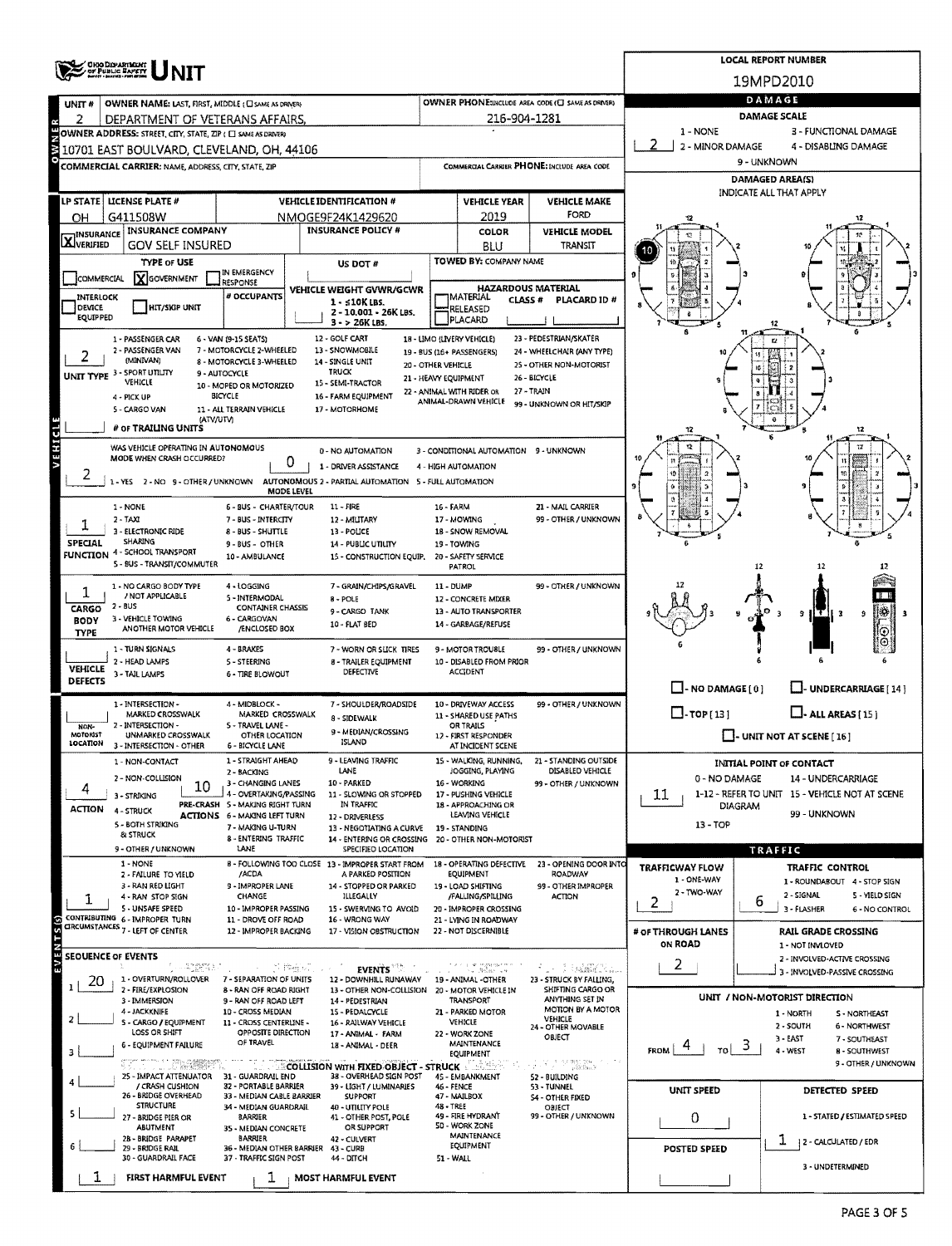| Ohio Department            |                                                                                                           |                                                          |                                                                                            |                                            |                                                         |                                                       | <b>LOCAL REPORT NUMBER</b>                                                                                                                                     |                                                                                                                                                                                                                                                                                                                                                                                                                                                                                                                                                                                                                                  |  |  |  |  |  |  |  |
|----------------------------|-----------------------------------------------------------------------------------------------------------|----------------------------------------------------------|--------------------------------------------------------------------------------------------|--------------------------------------------|---------------------------------------------------------|-------------------------------------------------------|----------------------------------------------------------------------------------------------------------------------------------------------------------------|----------------------------------------------------------------------------------------------------------------------------------------------------------------------------------------------------------------------------------------------------------------------------------------------------------------------------------------------------------------------------------------------------------------------------------------------------------------------------------------------------------------------------------------------------------------------------------------------------------------------------------|--|--|--|--|--|--|--|
| OF PUBLIC SAFETY           |                                                                                                           |                                                          |                                                                                            |                                            |                                                         |                                                       | 19MPD2010                                                                                                                                                      |                                                                                                                                                                                                                                                                                                                                                                                                                                                                                                                                                                                                                                  |  |  |  |  |  |  |  |
| UNIT#                      | OWNER NAME: LAST, FIRST, MIDDLE (CI SAME AS DRIVER)                                                       |                                                          | <b>OWNER PHONE:INCLUDE AREA CODE (C) SAME AS DRIVERY</b>                                   | DAMAGE                                     |                                                         |                                                       |                                                                                                                                                                |                                                                                                                                                                                                                                                                                                                                                                                                                                                                                                                                                                                                                                  |  |  |  |  |  |  |  |
| 2                          | DEPARTMENT OF VETERANS AFFAIRS.                                                                           |                                                          |                                                                                            |                                            | 216-904-1281                                            |                                                       | <b>DAMAGE SCALE</b><br>1 - NONE<br>3 - FUNCTIONAL DAMAGE                                                                                                       |                                                                                                                                                                                                                                                                                                                                                                                                                                                                                                                                                                                                                                  |  |  |  |  |  |  |  |
|                            | OWNER ADDRESS: STREET, CITY, STATE, ZIP ( C) SAME AS DRIVERY<br>10701 EAST BOULVARD, CLEVELAND, OH, 44106 |                                                          |                                                                                            | 2 - MINOR DAMAGE<br>4 - DISABLING DAMAGE   |                                                         |                                                       |                                                                                                                                                                |                                                                                                                                                                                                                                                                                                                                                                                                                                                                                                                                                                                                                                  |  |  |  |  |  |  |  |
|                            | COMMERCIAL CARRIER: NAME, ADDRESS, CITY, STATE, ZIP                                                       |                                                          | COMMERGIAL CARRIER PHONE: INCLUDE AREA CODE                                                |                                            | 9 - UNKNOWN                                             |                                                       |                                                                                                                                                                |                                                                                                                                                                                                                                                                                                                                                                                                                                                                                                                                                                                                                                  |  |  |  |  |  |  |  |
|                            |                                                                                                           |                                                          |                                                                                            |                                            |                                                         |                                                       | <b>DAMAGED AREA(S)</b>                                                                                                                                         |                                                                                                                                                                                                                                                                                                                                                                                                                                                                                                                                                                                                                                  |  |  |  |  |  |  |  |
|                            | LP STATE   LICENSE PLATE #                                                                                |                                                          | <b>VEHICLE IDENTIFICATION #</b>                                                            | <b>VEHICLE YEAR</b><br><b>VEHICLE MAKE</b> |                                                         |                                                       |                                                                                                                                                                | INDICATE ALL THAT APPLY                                                                                                                                                                                                                                                                                                                                                                                                                                                                                                                                                                                                          |  |  |  |  |  |  |  |
| OН                         | G411508W                                                                                                  |                                                          | NMOGE9F24K1429620                                                                          | FORD<br>2019                               |                                                         |                                                       |                                                                                                                                                                |                                                                                                                                                                                                                                                                                                                                                                                                                                                                                                                                                                                                                                  |  |  |  |  |  |  |  |
| <b>X</b> INSURANCE         | <b>INSURANCE COMPANY</b><br><b>GOV SELF INSURED</b>                                                       |                                                          | <b>INSURANCE POLICY #</b>                                                                  |                                            | <b>COLOR</b><br>BLU                                     | <b>VEHICLE MODEL</b><br>TRANSIT                       |                                                                                                                                                                |                                                                                                                                                                                                                                                                                                                                                                                                                                                                                                                                                                                                                                  |  |  |  |  |  |  |  |
|                            | <b>TYPE OF USE</b>                                                                                        |                                                          | US DOT #                                                                                   |                                            | TOWED BY: COMPANY NAME                                  |                                                       |                                                                                                                                                                |                                                                                                                                                                                                                                                                                                                                                                                                                                                                                                                                                                                                                                  |  |  |  |  |  |  |  |
| COMMERCIAL                 | <b>X</b> GOVERNMENT                                                                                       | IN EMERGENCY<br>RESPONSE                                 |                                                                                            |                                            |                                                         |                                                       |                                                                                                                                                                |                                                                                                                                                                                                                                                                                                                                                                                                                                                                                                                                                                                                                                  |  |  |  |  |  |  |  |
| INTERLOCK                  |                                                                                                           | # OCCUPANTS                                              | <b>VEHICLE WEIGHT GVWR/GCWR</b><br>$1 - 510K$ LBS.                                         |                                            | <b>HAZARDOUS MATERIAL</b><br>IMATERIAL<br><b>CLASS#</b> | PLACARD ID#                                           |                                                                                                                                                                |                                                                                                                                                                                                                                                                                                                                                                                                                                                                                                                                                                                                                                  |  |  |  |  |  |  |  |
| DEVICE<br>EQUIPPED         | HIT/SKIP UNIT                                                                                             |                                                          | 2 - 10.001 - 26K LBS.<br>$3 - 26K$ LBS.                                                    |                                            | RELEASED<br>PLACARD                                     |                                                       |                                                                                                                                                                |                                                                                                                                                                                                                                                                                                                                                                                                                                                                                                                                                                                                                                  |  |  |  |  |  |  |  |
|                            | 1 - PASSENGER CAR                                                                                         | 6 - VAN (9-15 SEATS)                                     | 12 - GOLF CART                                                                             |                                            | 18 - LIMO (LIVERY VEHICLE)                              | 23 - PEDESTRIAN/SKATER                                |                                                                                                                                                                | e                                                                                                                                                                                                                                                                                                                                                                                                                                                                                                                                                                                                                                |  |  |  |  |  |  |  |
|                            | 2 - PASSENGER VAN<br>(MINIVAN)                                                                            | 7 - MOTORCYCLE 2-WHEELED<br>8 MOTORCYCLE 3-WHEELED       | 13 - SNOWMOBILE<br>14 - SINGLE UNIT<br>20 - OTHER VEHICLE                                  |                                            | 19 - BUS (16+ PASSENGERS)                               | 24 - WHEELCHAIR (ANY TYPE)<br>25 - OTHER NON-MOTORIST |                                                                                                                                                                | u                                                                                                                                                                                                                                                                                                                                                                                                                                                                                                                                                                                                                                |  |  |  |  |  |  |  |
|                            | UNIT TYPE 3 - SPORT UTILITY<br>VEHICLE                                                                    | 9 - AUTOCYCLE                                            | <b>TRUCK</b><br>21 - HEAVY EQUIPMENT<br>15 - SEMI-TRACTOR                                  |                                            |                                                         | 26 - BICYCLE                                          |                                                                                                                                                                |                                                                                                                                                                                                                                                                                                                                                                                                                                                                                                                                                                                                                                  |  |  |  |  |  |  |  |
|                            | 4 - PICK UP                                                                                               | 10 - MOPED OR MOTORIZED<br>BICYCLE                       | 16 - FARM EOUIPMENT                                                                        |                                            | 22 - ANIMAL WITH RIDER OR<br>ANIMAL-DRAWN VEHICLE       | 27 - TRAIN                                            |                                                                                                                                                                |                                                                                                                                                                                                                                                                                                                                                                                                                                                                                                                                                                                                                                  |  |  |  |  |  |  |  |
|                            | 5 - CARGO VAN<br>(ATV/UTV)                                                                                | 11 - ALL TERRAIN VEHICLE                                 | 17 - MOTORHOME                                                                             |                                            |                                                         |                                                       |                                                                                                                                                                |                                                                                                                                                                                                                                                                                                                                                                                                                                                                                                                                                                                                                                  |  |  |  |  |  |  |  |
| <b>AEHICTE</b>             | # OF TRAILING UNITS                                                                                       |                                                          |                                                                                            |                                            |                                                         |                                                       | 12                                                                                                                                                             | 12                                                                                                                                                                                                                                                                                                                                                                                                                                                                                                                                                                                                                               |  |  |  |  |  |  |  |
|                            | WAS VEHICLE OPERATING IN AUTONOMOUS<br>MODE WHEN CRASH OCCURRED?                                          | 0                                                        | 0 - NO AUTOMATION                                                                          |                                            | 3 - CONDITIONAL AUTOMATION 9 - UNKNOWN                  |                                                       |                                                                                                                                                                |                                                                                                                                                                                                                                                                                                                                                                                                                                                                                                                                                                                                                                  |  |  |  |  |  |  |  |
|                            |                                                                                                           |                                                          | 1 - DRIVER ASSISTANCE<br>AUTONOMOUS 2 - PARTIAL AUTOMATION 5 - FULL AUTOMATION             |                                            | 4 - HIGH AUTOMATION                                     |                                                       | 99 - UNKNOWN OR HIT/SKIP<br>99 - OTHER / UNKNOWN<br>12<br>12<br>12<br>ПΤ<br>Į₩,<br>э<br>$T$ $\vert$ 3<br>9<br>з<br>⊙<br>$_{\odot}$<br>$\Box$ - NO DAMAGE $[0]$ |                                                                                                                                                                                                                                                                                                                                                                                                                                                                                                                                                                                                                                  |  |  |  |  |  |  |  |
|                            | 1-YES 2-NO 9-OTHER/UNKNOWN                                                                                | MODE LEVEL                                               |                                                                                            |                                            |                                                         |                                                       |                                                                                                                                                                |                                                                                                                                                                                                                                                                                                                                                                                                                                                                                                                                                                                                                                  |  |  |  |  |  |  |  |
|                            | 1 - NONE<br>$2 - TAXI$                                                                                    | 6 - BUS - CHARTER/TOUR<br>7 - BUS - INTERCITY            | $11 - FIRE$<br>12 - MILITARY                                                               | 16 - FARM                                  | 17 - MOWING                                             | 21 - MAIL CARRIER                                     |                                                                                                                                                                |                                                                                                                                                                                                                                                                                                                                                                                                                                                                                                                                                                                                                                  |  |  |  |  |  |  |  |
|                            | 3 - ELECTRONIC RIDE                                                                                       | 8 BUS - SHUTTLE                                          | 13 - POLICE                                                                                |                                            | 18 - SNOW REMOVAL                                       |                                                       |                                                                                                                                                                |                                                                                                                                                                                                                                                                                                                                                                                                                                                                                                                                                                                                                                  |  |  |  |  |  |  |  |
| SPECIAL                    | SHARING<br>FUNCTION 4 - SCHOOL TRANSPORT                                                                  | 9 - BUS - OTHER<br>10 - AMBULANCE                        | 14 - PUBLIC UTILITY<br>15 - CONSTRUCTION EQUIP.                                            |                                            | 19 - TOWING<br>20 - SAFETY SERVICE                      |                                                       |                                                                                                                                                                |                                                                                                                                                                                                                                                                                                                                                                                                                                                                                                                                                                                                                                  |  |  |  |  |  |  |  |
|                            | 5 - BUS - TRANSIT/COMMUTER                                                                                |                                                          |                                                                                            |                                            | PATROL                                                  |                                                       |                                                                                                                                                                |                                                                                                                                                                                                                                                                                                                                                                                                                                                                                                                                                                                                                                  |  |  |  |  |  |  |  |
|                            | 1 - NO CARGO BODY TYPE<br>/ NOT APPLICABLE                                                                | 4 - LOGGING                                              | 7 - GRAIN/CHIPS/GRAVEL                                                                     | 11 - DUMP                                  |                                                         | 99 - OTHER / UNKNOWN                                  |                                                                                                                                                                |                                                                                                                                                                                                                                                                                                                                                                                                                                                                                                                                                                                                                                  |  |  |  |  |  |  |  |
| CARGO                      | <b>2 - BUS</b>                                                                                            | 5 - INTERMODAL<br><b>CONTAINER CHASSIS</b>               | 8 - POLE<br>9 - CARGO TANK                                                                 |                                            | 12 - CONCRETE MIXER<br>13 - AUTO TRANSPORTER            |                                                       |                                                                                                                                                                | L. J- UNDERCARRIAGE [ 14 ]<br>$L$ - ALL AREAS $(15)$                                                                                                                                                                                                                                                                                                                                                                                                                                                                                                                                                                             |  |  |  |  |  |  |  |
| <b>BODY</b><br><b>TYPE</b> | 3 - VEHICLE TOWING<br>ANOTHER MOTOR VEHICLE                                                               | 6 - CARGOVAN<br>/ENCLOSED BOX                            | 10 - FLAT BED                                                                              |                                            | 14 - GARBAGE/REFUSE                                     |                                                       |                                                                                                                                                                |                                                                                                                                                                                                                                                                                                                                                                                                                                                                                                                                                                                                                                  |  |  |  |  |  |  |  |
|                            | 1 - TURN SIGNALS                                                                                          | 4 - BRAKES                                               | 7 - WORN OR SLICK TIRES                                                                    |                                            | 9 - MOTOR TROUBLE                                       | 99 - OTHER / UNKNOWN                                  |                                                                                                                                                                |                                                                                                                                                                                                                                                                                                                                                                                                                                                                                                                                                                                                                                  |  |  |  |  |  |  |  |
| <b>VEHICLE</b>             | 2 - HEAD LAMPS<br>3 - TAIL LAMPS                                                                          | 5 - STEERING<br><b>6 - TIRE BLOWOUT</b>                  | <b>8 - TRAILER EQUIPMENT</b><br>DEFECTIVE                                                  |                                            | 10 - DISABLED FROM PRIOR<br><b>ACCIDENT</b>             |                                                       |                                                                                                                                                                |                                                                                                                                                                                                                                                                                                                                                                                                                                                                                                                                                                                                                                  |  |  |  |  |  |  |  |
| <b>DEFECTS</b>             |                                                                                                           |                                                          |                                                                                            |                                            |                                                         |                                                       |                                                                                                                                                                |                                                                                                                                                                                                                                                                                                                                                                                                                                                                                                                                                                                                                                  |  |  |  |  |  |  |  |
|                            | 1 - INTERSECTION -<br><b>MARKED CROSSWALK</b>                                                             | 4 - MIDBLOCK -<br>MARKED CROSSWALK                       | 7 - SHOULDER/ROADSIDE                                                                      |                                            | 10 - DRIVEWAY ACCESS<br>11 - SHARED USE PATHS           | 99 - OTHER / UNKNOWN                                  | $\Box$ -TOP[13]                                                                                                                                                |                                                                                                                                                                                                                                                                                                                                                                                                                                                                                                                                                                                                                                  |  |  |  |  |  |  |  |
| NON-<br><b>MOTORIST</b>    | - INTERSECTION -<br>UNMARKED CROSSWALK                                                                    | 5 - TRAVEL LANE -<br>OTHER LOCATION                      | 8 - SIDEWALK<br>9 - MEDIAN/CROSSING                                                        |                                            | OR TRAILS<br>12 - FIRST RESPONDER                       |                                                       |                                                                                                                                                                |                                                                                                                                                                                                                                                                                                                                                                                                                                                                                                                                                                                                                                  |  |  |  |  |  |  |  |
| <b>LOCATION</b>            | 3 - INTERSECTION - OTHER                                                                                  | 6 - BICYCLE LANE                                         | ISLAND                                                                                     |                                            | AT INCIDENT SCENE                                       |                                                       |                                                                                                                                                                |                                                                                                                                                                                                                                                                                                                                                                                                                                                                                                                                                                                                                                  |  |  |  |  |  |  |  |
|                            | 1 - NON-CONTACT                                                                                           | 1 - STRAIGHT AHEAD<br>2 - BACKING                        | 9 - LEAVING TRAFFIC<br>LANE                                                                |                                            | 15 - WALKING, RUNNING,<br>JOGGING, PLAYING              | 21 - STANDING OUTSIDE<br>DISABLED VEHICLE             |                                                                                                                                                                |                                                                                                                                                                                                                                                                                                                                                                                                                                                                                                                                                                                                                                  |  |  |  |  |  |  |  |
| 4                          | 2 - NON-COLLISION<br>10                                                                                   | 3 - CHANGING LANES<br>4 - OVERTAKING/PASSING             | 10 - PARKED<br>11 - SLOWING OR STOPPED                                                     |                                            | 16 - WORKING<br>17 - PUSHING VEHICLE                    | 99 - OTHER / UNKNOWN                                  | 11                                                                                                                                                             |                                                                                                                                                                                                                                                                                                                                                                                                                                                                                                                                                                                                                                  |  |  |  |  |  |  |  |
| <b>ACTION</b>              | 3 - STRIKING<br>4 - STRUCK                                                                                | PRE-CRASH 5 - MAKING RIGHT TURN                          | IN TRAFFIC                                                                                 |                                            | 18 - APPROACHING OR<br>LEAVING VEHICLE                  |                                                       |                                                                                                                                                                |                                                                                                                                                                                                                                                                                                                                                                                                                                                                                                                                                                                                                                  |  |  |  |  |  |  |  |
|                            | 5 - BOTH STRIKING                                                                                         | <b>ACTIONS 6 - MAKING LEFT TURN</b><br>7 - MAKING U-TURN | 12 - DRIVERLESS<br>13 - NEGOTIATING A CURVE                                                |                                            | 19 - STANDING                                           |                                                       | $13 - TOP$                                                                                                                                                     | $\Box$ - UNIT NOT AT SCENE [16]<br>INITIAL POINT OF CONTACT<br>0 - NO DAMAGE<br>14 - UNDERCARRIAGE<br>1-12 - REFER TO UNIT 15 - VEHICLE NOT AT SCENE<br><b>DIAGRAM</b><br>99 - UNKNOWN<br>TRAFFIC<br>TRAFFIC CONTROL<br>1 - ROUNDABOUT 4 - STOP SIGN<br>2 - SIGNAL<br>5 - YIELD SIGN<br>b<br>3 - FLASHER<br>6 - NO CONTROL<br><b>RAIL GRADE CROSSING</b><br>1 - NOT INVLOVED<br>2 - INVOLVED-ACTIVE CROSSING<br>3 - INVOLVED-PASSIVE CROSSING<br>UNIT / NON-MOTORIST DIRECTION<br>1 - NORTH<br>S - NORTHEAST<br>2 - SOUTH<br><b>6 - NORTHWEST</b><br>$3 -$ LAST<br>7 - SOUTHEAST<br>3<br>4 - WEST<br>TOI<br><b>8 - SOUTHWEST</b> |  |  |  |  |  |  |  |
|                            | & STRUCK<br>9 - OTHER / UNKNOWN                                                                           | 8 - ENTERING TRAFFIC<br>LANE                             | 14 - ENTERING OR CROSSING 20 - OTHER NON-MOTORIST<br>SPECIFIED LOCATION                    |                                            |                                                         |                                                       |                                                                                                                                                                |                                                                                                                                                                                                                                                                                                                                                                                                                                                                                                                                                                                                                                  |  |  |  |  |  |  |  |
|                            | 1 - NONE<br>2 - FAILURE TO YIELD                                                                          | /ACDA                                                    | B - FOLLOWING TOO CLOSE 13 - IMPROPER START FROM<br>A PARKED POSITION                      |                                            | 18 - OPERATING DEFECTIVE<br>EQUIPMENT                   | 23 - OPENING DOOR INTO<br>ROADWAY                     | <b>TRAFFICWAY FLOW</b>                                                                                                                                         |                                                                                                                                                                                                                                                                                                                                                                                                                                                                                                                                                                                                                                  |  |  |  |  |  |  |  |
|                            | 3 - RAN RED LIGHT                                                                                         | <b>9 - IMPROPER LANE</b>                                 | 14 - STOPPED OR PARKED                                                                     |                                            | 19 - LOAD SHIFTING                                      | 99 - OTHER IMPROPER                                   | 1 - ONE-WAY<br>2 - TWO-WAY                                                                                                                                     |                                                                                                                                                                                                                                                                                                                                                                                                                                                                                                                                                                                                                                  |  |  |  |  |  |  |  |
| ı                          | 4 - RAN STOP SIGN<br>5 - UNSAFE SPEED                                                                     | <b>CHANGE</b><br>10 - IMPROPER PASSING                   | ILLEGALLY<br>15 - SWERVING TO AVOID                                                        |                                            | /FALLING/SPILLING<br>20 - IMPROPER CROSSING             | <b>ACTION</b>                                         | 2                                                                                                                                                              |                                                                                                                                                                                                                                                                                                                                                                                                                                                                                                                                                                                                                                  |  |  |  |  |  |  |  |
|                            | CONTRIBUTING 6 - IMPROPER TURN<br>CIRCUMSTANCES 7 - LEFT OF CENTER                                        | 11 - DROVE OFF ROAD<br>12 - IMPROPER BACKING             | 16 - WRONG WAY<br>17 - VISION OBSTRUCTION                                                  |                                            | 21 - LYING IN ROADWAY<br>22 - NOT DISCERNIBLE           |                                                       | # OF THROUGH LANES                                                                                                                                             |                                                                                                                                                                                                                                                                                                                                                                                                                                                                                                                                                                                                                                  |  |  |  |  |  |  |  |
| EVENTS(s)                  |                                                                                                           |                                                          |                                                                                            |                                            |                                                         |                                                       | ON ROAD                                                                                                                                                        |                                                                                                                                                                                                                                                                                                                                                                                                                                                                                                                                                                                                                                  |  |  |  |  |  |  |  |
|                            | <b>SEOUENCE OF EVENTS</b><br>- 43654.50                                                                   | 그는 김 백광의                                                 | <b>EVENTS</b>                                                                              |                                            | a se regeneziono<br>Tra Melina ann                      | film I samestal                                       | 2.                                                                                                                                                             |                                                                                                                                                                                                                                                                                                                                                                                                                                                                                                                                                                                                                                  |  |  |  |  |  |  |  |
| 20                         | 1 - OVERTURN/ROLLOVER<br>2 - FIRE/EXPLOSION                                                               | 7 - SEPARATION OF UNITS<br>8 - RAN OFF ROAD RIGHT        | 12 - DOWNHILL RUNAWAY<br>13 - OTHER NON-COLLISION                                          |                                            | 19 - ANIMAL -OTHER<br>20 - MOTOR VEHICLE IN             | 23 - STRUCK BY FALLING,<br>SHIFTING CARGO OR          |                                                                                                                                                                |                                                                                                                                                                                                                                                                                                                                                                                                                                                                                                                                                                                                                                  |  |  |  |  |  |  |  |
|                            | 3 <b>IMMERSION</b>                                                                                        | 9 - RAN OFF ROAD LEFT                                    | 14 - PEDESTRIAN                                                                            |                                            | TRANSPORT                                               | ANYTHING SET IN<br>MOTION BY A MOTOR                  |                                                                                                                                                                |                                                                                                                                                                                                                                                                                                                                                                                                                                                                                                                                                                                                                                  |  |  |  |  |  |  |  |
|                            | 4 - JACKKNIFE<br>S - CARGO / EQUIPMENT                                                                    | 10 - CROSS MEDIAN<br>11 - CROSS CENTERLINE -             | 15 - PEDALCYCLE<br>16 - RAILWAY VEHICLE                                                    |                                            | 21 - PARKED MOTOR<br>VEHICLE                            | VEHICLE<br>24 - OTHER MOVABLE                         |                                                                                                                                                                |                                                                                                                                                                                                                                                                                                                                                                                                                                                                                                                                                                                                                                  |  |  |  |  |  |  |  |
|                            | LOSS OR SHIFT<br><b>6 - EQUIPMENT FAILURE</b>                                                             | OPPOSITE DIRECTION<br>OF TRAVEL                          | 17 - ANIMAL - FARM<br>18 - ANIMAL - DEER                                                   |                                            | 22 - WORK ZONE<br>MAINTENANCE                           | OBJECT                                                | <b>FROM</b>                                                                                                                                                    |                                                                                                                                                                                                                                                                                                                                                                                                                                                                                                                                                                                                                                  |  |  |  |  |  |  |  |
|                            | uman any seemessan.<br>Turuu meessanti ku                                                                 |                                                          | <b>COLLISION WITH FIXED OBJECT - STRUCK AND LOCAL COLLISION WITH FIXED OBJECT - STRUCK</b> |                                            | EQUIPMENT                                               | GUNI FRIES<br>アルプス                                    |                                                                                                                                                                | 9 - OTHER / UNKNOWN                                                                                                                                                                                                                                                                                                                                                                                                                                                                                                                                                                                                              |  |  |  |  |  |  |  |
|                            | 25 - IMPACT ATTENUATOR<br>/ CRASH CUSHION                                                                 | 31 - GUARDRAIL END<br>32 - PORTABLE BARRIER              | 38 - OVERHEAD SIGN POST<br>39 - LIGHT / LUMINARIES                                         | 46 - FENCE                                 | 45 - EMBANKMENT                                         | 52 - BUILDING<br>53 - TUNNEL                          |                                                                                                                                                                | DETECTED SPEED<br>1 - STATED / ESTIMATED SPEED                                                                                                                                                                                                                                                                                                                                                                                                                                                                                                                                                                                   |  |  |  |  |  |  |  |
|                            | 26 - BRIDGE OVERHEAD<br><b>STRUCTURE</b>                                                                  | 33 - MEDIAN CABLE BARRIER<br>34 - MEDIAN GUARDRAIL       | <b>SUPPORT</b><br>40 - UTILITY POLE                                                        | 48 - TREE                                  | 47 - MAILBOX                                            | <b>S4 - OTHER FIXED</b><br>OBJECT                     | UNIT SPEED                                                                                                                                                     |                                                                                                                                                                                                                                                                                                                                                                                                                                                                                                                                                                                                                                  |  |  |  |  |  |  |  |
| 5.                         | 27 - BRIDGE PIER OR<br>ABUTMENT                                                                           | BARRIER                                                  | 41 - OTHER POST, POLE<br>OR SUPPORT                                                        |                                            | 49 - FIRE HYDRANT<br>50 - WORK ZONE                     | 99 - OTHER / UNKNOWN                                  | 0                                                                                                                                                              |                                                                                                                                                                                                                                                                                                                                                                                                                                                                                                                                                                                                                                  |  |  |  |  |  |  |  |
|                            | 2B - BRIDGE PARAPET                                                                                       | 35 - MEDIAN CONCRETE<br>BARRIER                          | 42 - CULVERT                                                                               |                                            | MAINTENANCE<br>EQUIPMENT                                |                                                       |                                                                                                                                                                | ı<br>2 - CALCULATED / EDR                                                                                                                                                                                                                                                                                                                                                                                                                                                                                                                                                                                                        |  |  |  |  |  |  |  |
|                            | 29 - BRIDGE RAIL<br>30 - GUARDRAIL FACE                                                                   | 36 - MEDIAN OTHER BARRIER<br>37 - TRAFFIC SIGN POST      | 43 - CURB<br>44 - DITCH                                                                    | 51 - WALL                                  |                                                         |                                                       | POSTED SPEED                                                                                                                                                   |                                                                                                                                                                                                                                                                                                                                                                                                                                                                                                                                                                                                                                  |  |  |  |  |  |  |  |
| ı                          | FIRST HARMFUL EVENT                                                                                       | ı                                                        | <b>MOST HARMFUL EVENT</b>                                                                  |                                            |                                                         |                                                       |                                                                                                                                                                | 3 - UNDETERMINED                                                                                                                                                                                                                                                                                                                                                                                                                                                                                                                                                                                                                 |  |  |  |  |  |  |  |